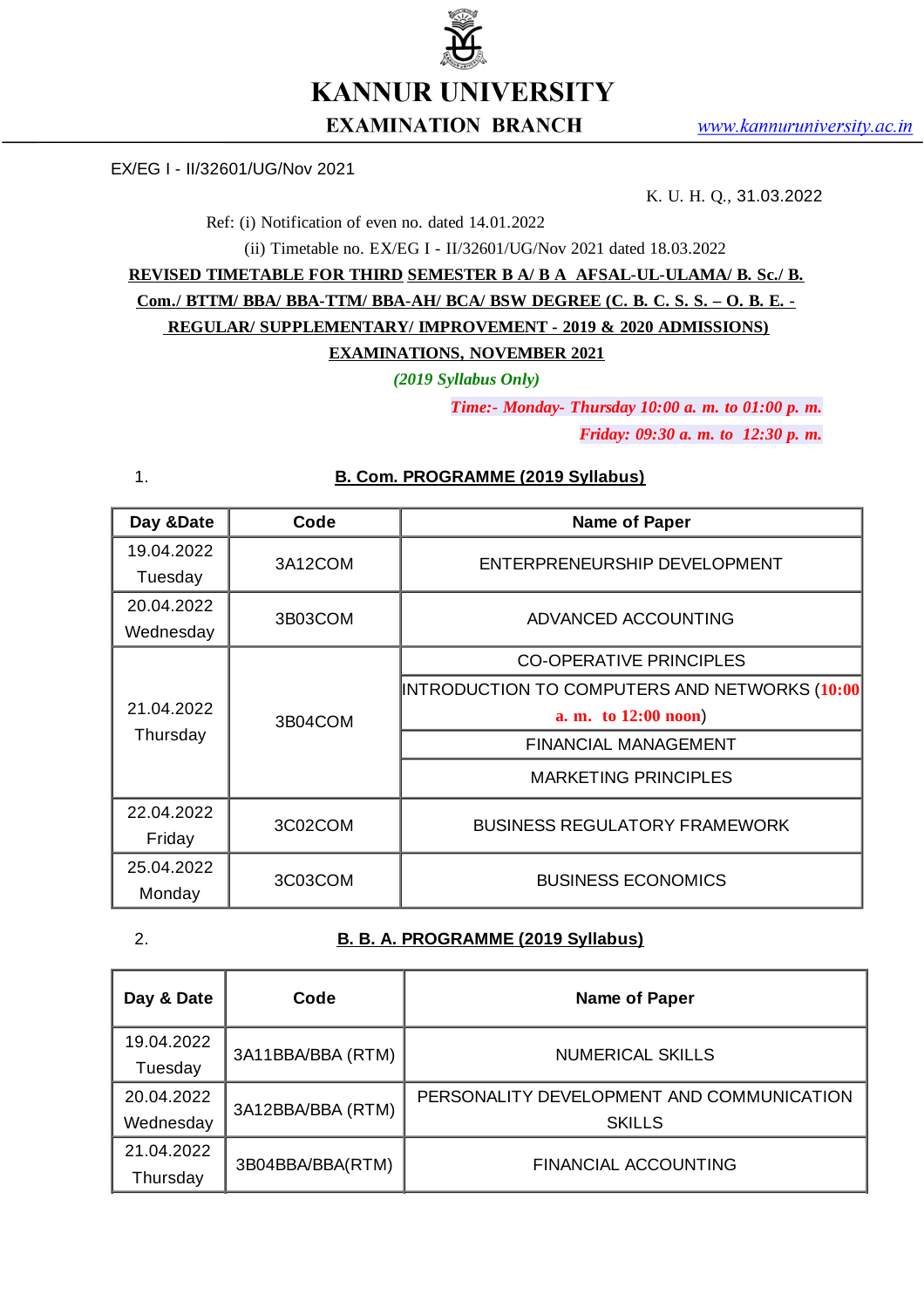

# **EXAMINATION BRANCH**

EX/EG I - II/32601/UG/Nov 2021

K. U. H. Q., 31.03.2022

Ref: (i) Notification of even no. dated 14.01.2022

(ii) Timetable no. EX/EG I - II/32601/UG/Nov 2021 dated 18.03.2022

**REVISED TIMETABLE FOR THIRD SEMESTER B A/ B A AFSAL-UL-ULAMA/ B. Sc./ B. Com./ BTTM/ BBA/ BBA-TTM/ BBA-AH/ BCA/ BSW DEGREE (C. B. C. S. S. – O. B. E. - REGULAR/ SUPPLEMENTARY/ IMPROVEMENT - 2019 & 2020 ADMISSIONS) EXAMINATIONS, NOVEMBER 2021**

*(2019 Syllabus Only)*

*Time:- Monday- Thursday 10:00 a. m. to 01:00 p. m.*

*Friday: 09:30 a. m. to 12:30 p. m.*

| Day &Date  | Code    | <b>Name of Paper</b>                          |
|------------|---------|-----------------------------------------------|
| 19.04.2022 | 3A12COM | ENTERPRENEURSHIP DEVELOPMENT                  |
| Tuesday    |         |                                               |
| 20.04.2022 | 3B03COM | ADVANCED ACCOUNTING                           |
| Wednesday  |         |                                               |
| 21.04.2022 | 3B04COM | <b>CO-OPERATIVE PRINCIPLES</b>                |
|            |         | INTRODUCTION TO COMPUTERS AND NETWORKS (10:00 |
|            |         | a. m. to 12:00 noon)                          |
| Thursday   |         | <b>FINANCIAL MANAGEMENT</b>                   |
|            |         | <b>MARKETING PRINCIPLES</b>                   |
| 22.04.2022 | 3C02COM | <b>BUSINESS REGULATORY FRAMEWORK</b>          |
| Friday     |         |                                               |
| 25.04.2022 | 3C03COM | <b>BUSINESS ECONOMICS</b>                     |
| Monday     |         |                                               |

#### 1. **B. Com. PROGRAMME (2019 Syllabus)**

| I           |  |
|-------------|--|
| i<br>ł<br>I |  |

#### 2. **B. B. A. PROGRAMME (2019 Syllabus)**

| Day & Date | Code              | Name of Paper                             |  |
|------------|-------------------|-------------------------------------------|--|
| 19.04.2022 | 3A11BBA/BBA (RTM) | <b>NUMERICAL SKILLS</b>                   |  |
| Tuesday    |                   |                                           |  |
| 20.04.2022 | 3A12BBA/BBA (RTM) | PERSONALITY DEVELOPMENT AND COMMUNICATION |  |
| Wednesday  |                   | <b>SKILLS</b>                             |  |
| 21.04.2022 |                   | FINANCIAL ACCOUNTING                      |  |
| Thursday   | 3B04BBA/BBA(RTM)  |                                           |  |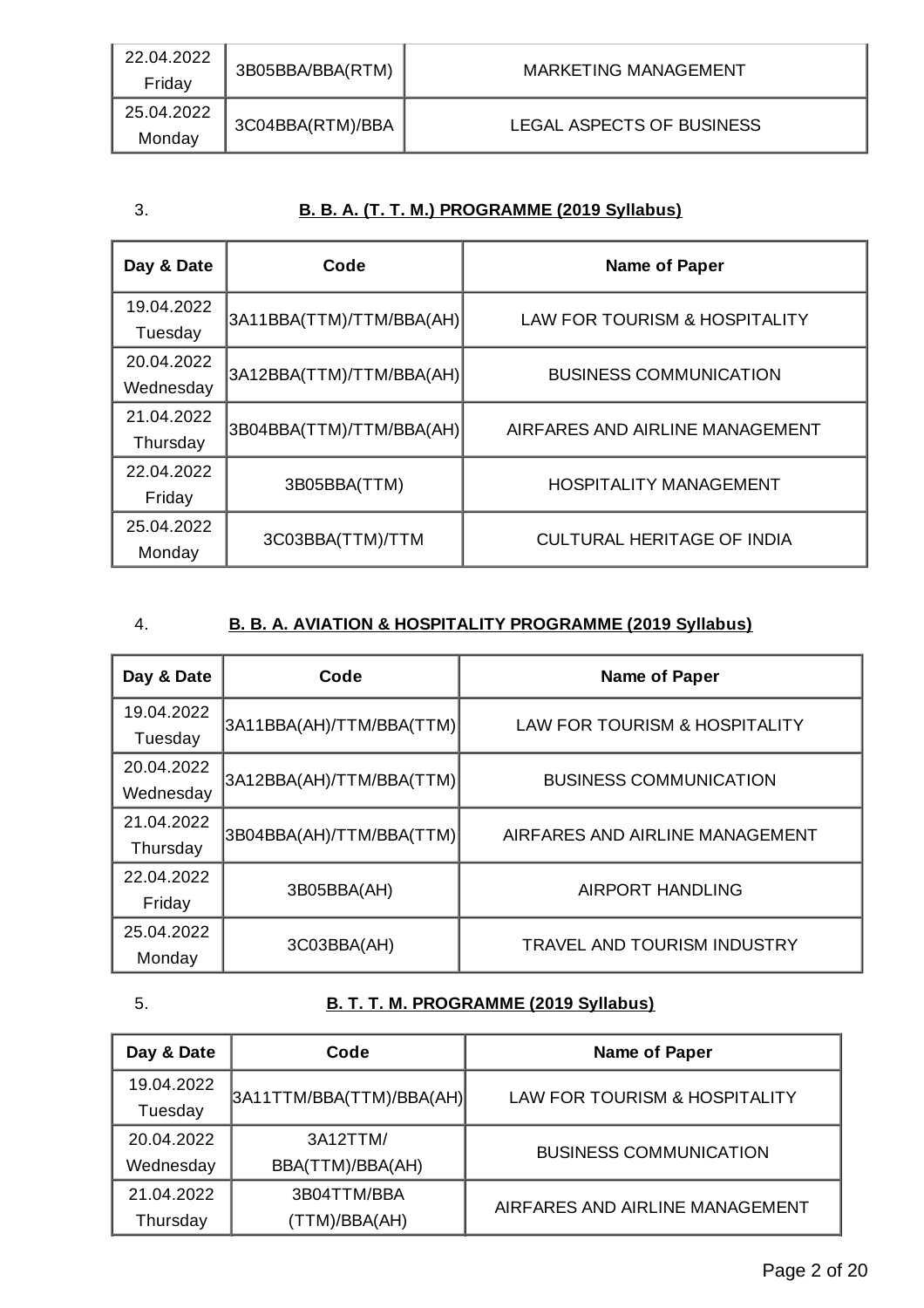| 22.04.2022<br>Friday | 3B05BBA/BBA(RTM) | MARKETING MANAGEMENT      |
|----------------------|------------------|---------------------------|
| 25.04.2022<br>Monday | 3C04BBA(RTM)/BBA | LEGAL ASPECTS OF BUSINESS |

## 3. **B. B. A. (T. T. M.) PROGRAMME (2019 Syllabus)**

| Day & Date | Code                     | <b>Name of Paper</b>              |
|------------|--------------------------|-----------------------------------|
| 19.04.2022 | 3A11BBA(TTM)/TTM/BBA(AH) | LAW FOR TOURISM & HOSPITALITY     |
| Tuesday    |                          |                                   |
| 20.04.2022 | 3A12BBA(TTM)/TTM/BBA(AH) | <b>BUSINESS COMMUNICATION</b>     |
| Wednesday  |                          |                                   |
| 21.04.2022 | 3B04BBA(TTM)/TTM/BBA(AH) | AIRFARES AND AIRLINE MANAGEMENT   |
| Thursday   |                          |                                   |
| 22.04.2022 | 3B05BBA(TTM)             | <b>HOSPITALITY MANAGEMENT</b>     |
| Friday     |                          |                                   |
| 25.04.2022 | 3C03BBA(TTM)/TTM         | <b>CULTURAL HERITAGE OF INDIA</b> |
| Monday     |                          |                                   |

# 4. **B. B. A. AVIATION & HOSPITALITY PROGRAMME (2019 Syllabus)**

| Day & Date | Code                     | <b>Name of Paper</b>               |
|------------|--------------------------|------------------------------------|
| 19.04.2022 | 3A11BBA(AH)/TTM/BBA(TTM) | LAW FOR TOURISM & HOSPITALITY      |
| Tuesday    |                          |                                    |
| 20.04.2022 | 3A12BBA(AH)/TTM/BBA(TTM) | <b>BUSINESS COMMUNICATION</b>      |
| Wednesday  |                          |                                    |
| 21.04.2022 | 3B04BBA(AH)/TTM/BBA(TTM) | AIRFARES AND AIRLINE MANAGEMENT    |
| Thursday   |                          |                                    |
| 22.04.2022 | 3B05BBA(AH)              | <b>AIRPORT HANDLING</b>            |
| Friday     |                          |                                    |
| 25.04.2022 | 3C03BBA(AH)              | <b>TRAVEL AND TOURISM INDUSTRY</b> |
| Monday     |                          |                                    |

# 5. **B. T. T. M. PROGRAMME (2019 Syllabus)**

| Day & Date | Code                     | <b>Name of Paper</b>            |
|------------|--------------------------|---------------------------------|
| 19.04.2022 | 3A11TTM/BBA(TTM)/BBA(AH) | LAW FOR TOURISM & HOSPITALITY   |
| Tuesday    |                          |                                 |
| 20.04.2022 | 3A12TTM/                 | <b>BUSINESS COMMUNICATION</b>   |
| Wednesday  | BBA(TTM)/BBA(AH)         |                                 |
| 21.04.2022 | 3B04TTM/BBA              | AIRFARES AND AIRLINE MANAGEMENT |
| Thursday   | (TTM)/BBA(AH)            |                                 |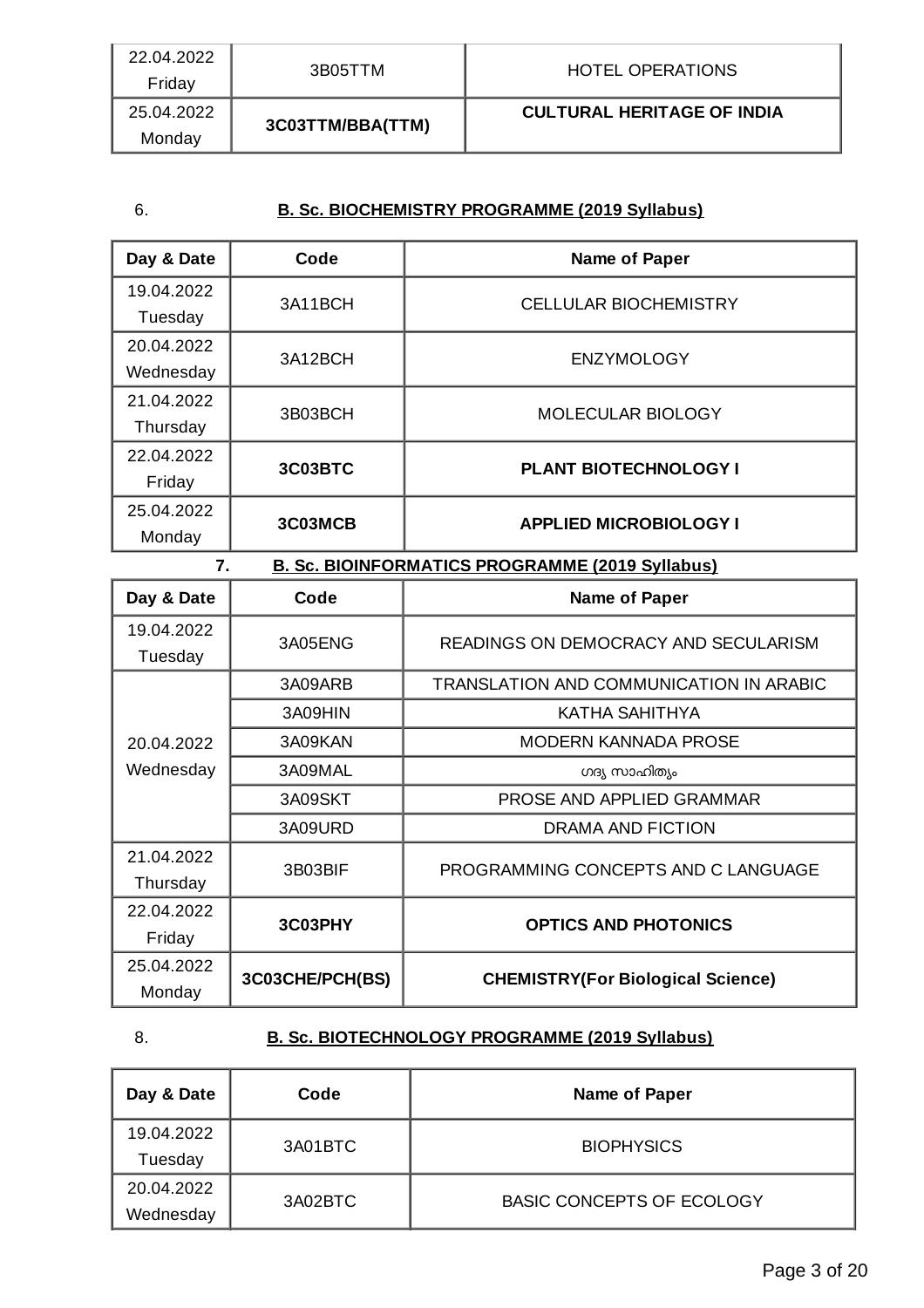| 22.04.2022<br>Friday | 3B05TTM          | HOTEL OPERATIONS                  |
|----------------------|------------------|-----------------------------------|
| 25.04.2022<br>Monday | 3C03TTM/BBA(TTM) | <b>CULTURAL HERITAGE OF INDIA</b> |

## 6. **B. Sc. BIOCHEMISTRY PROGRAMME (2019 Syllabus)**

| Day & Date | Code    | <b>Name of Paper</b>          |
|------------|---------|-------------------------------|
| 19.04.2022 | 3A11BCH | <b>CELLULAR BIOCHEMISTRY</b>  |
| Tuesday    |         |                               |
| 20.04.2022 | 3A12BCH | <b>ENZYMOLOGY</b>             |
| Wednesday  |         |                               |
| 21.04.2022 |         | <b>MOLECULAR BIOLOGY</b>      |
| Thursday   | 3B03BCH |                               |
| 22.04.2022 | 3C03BTC | <b>PLANT BIOTECHNOLOGY I</b>  |
| Friday     |         |                               |
| 25.04.2022 | 3C03MCB | <b>APPLIED MICROBIOLOGY I</b> |
| Monday     |         |                               |

| 7.<br><b>B. Sc. BIOINFORMATICS PROGRAMME (2019 Syllabus)</b> |                 |                                          |
|--------------------------------------------------------------|-----------------|------------------------------------------|
| Day & Date                                                   | Code            | <b>Name of Paper</b>                     |
| 19.04.2022<br>Tuesday                                        | 3A05ENG         | READINGS ON DEMOCRACY AND SECULARISM     |
|                                                              | 3A09ARB         | TRANSLATION AND COMMUNICATION IN ARABIC  |
|                                                              | 3A09HIN         | KATHA SAHITHYA                           |
| 20.04.2022                                                   | 3A09KAN         | MODERN KANNADA PROSE                     |
| Wednesday                                                    | 3A09MAL         | ഗദ്യ സാഹിത്യം                            |
|                                                              | 3A09SKT         | PROSE AND APPLIED GRAMMAR                |
|                                                              | 3A09URD         | DRAMA AND FICTION                        |
| 21.04.2022<br>Thursday                                       | 3B03BIF         | PROGRAMMING CONCEPTS AND C LANGUAGE      |
| 22.04.2022                                                   | 3C03PHY         | <b>OPTICS AND PHOTONICS</b>              |
| Friday                                                       |                 |                                          |
| 25.04.2022                                                   | 3C03CHE/PCH(BS) | <b>CHEMISTRY(For Biological Science)</b> |
| Monday                                                       |                 |                                          |

# 8. **B. Sc. BIOTECHNOLOGY PROGRAMME (2019 Syllabus)**

| Day & Date | Code    | Name of Paper                    |
|------------|---------|----------------------------------|
| 19.04.2022 | 3A01BTC | <b>BIOPHYSICS</b>                |
| Tuesday    |         |                                  |
| 20.04.2022 |         |                                  |
| Wednesday  | 3A02BTC | <b>BASIC CONCEPTS OF ECOLOGY</b> |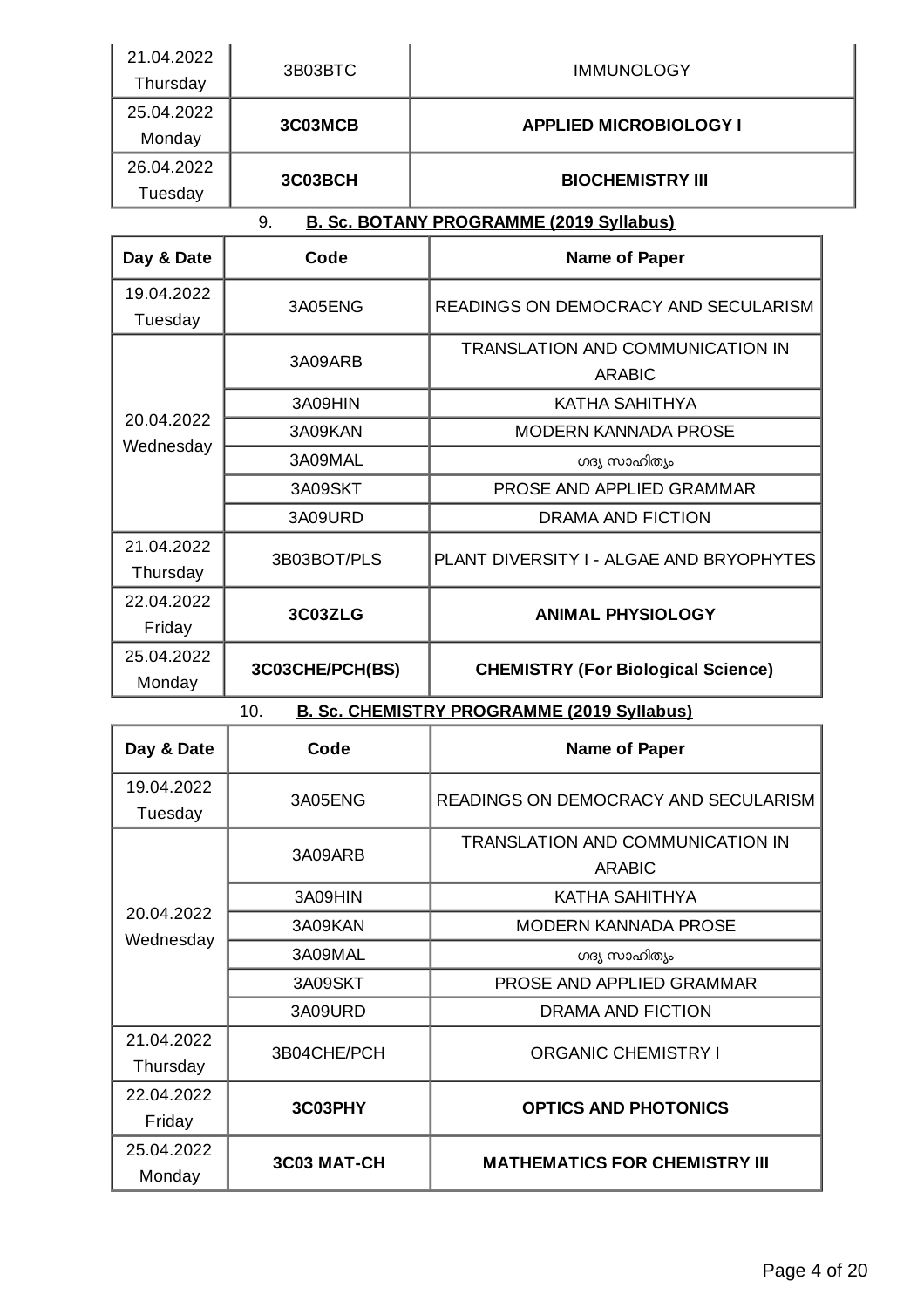| 21.04.2022 | 3B03BTC | <b>IMMUNOLOGY</b>             |
|------------|---------|-------------------------------|
| Thursday   |         |                               |
| 25.04.2022 | 3C03MCB | <b>APPLIED MICROBIOLOGY I</b> |
| Monday     |         |                               |
| 26.04.2022 | 3C03BCH | <b>BIOCHEMISTRY III</b>       |
| Tuesday    |         |                               |

9. **B. Sc. BOTANY PROGRAMME (2019 Syllabus)**

| Day & Date              | Code            | <b>Name of Paper</b>                      |  |
|-------------------------|-----------------|-------------------------------------------|--|
| 19.04.2022              | 3A05ENG         | READINGS ON DEMOCRACY AND SECULARISM      |  |
| Tuesday                 |                 |                                           |  |
|                         | 3A09ARB         | TRANSLATION AND COMMUNICATION IN          |  |
|                         |                 | <b>ARABIC</b>                             |  |
|                         | 3A09HIN         | KATHA SAHITHYA                            |  |
| 20.04.2022<br>Wednesday | 3A09KAN         | <b>MODERN KANNADA PROSE</b>               |  |
|                         | 3A09MAL         | ഗദ്യ സാഹിത്യം                             |  |
|                         | 3A09SKT         | PROSE AND APPLIED GRAMMAR                 |  |
|                         | 3A09URD         | DRAMA AND FICTION                         |  |
| 21.04.2022              | 3B03BOT/PLS     | PLANT DIVERSITY I - ALGAE AND BRYOPHYTES  |  |
| Thursday                |                 |                                           |  |
| 22.04.2022              | 3C03ZLG         | <b>ANIMAL PHYSIOLOGY</b>                  |  |
| Friday                  |                 |                                           |  |
| 25.04.2022              | 3C03CHE/PCH(BS) |                                           |  |
| Monday                  |                 | <b>CHEMISTRY (For Biological Science)</b> |  |

10. **B. Sc. CHEMISTRY PROGRAMME (2019 Syllabus)**

| Day & Date              | Code               | <b>Name of Paper</b>                                     |  |
|-------------------------|--------------------|----------------------------------------------------------|--|
| 19.04.2022<br>Tuesday   | 3A05ENG            | READINGS ON DEMOCRACY AND SECULARISM                     |  |
|                         | 3A09ARB            | <b>TRANSLATION AND COMMUNICATION IN</b><br><b>ARABIC</b> |  |
|                         | 3A09HIN            | KATHA SAHITHYA                                           |  |
| 20.04.2022<br>Wednesday | 3A09KAN            | <b>MODERN KANNADA PROSE</b>                              |  |
|                         | 3A09MAL            | ഗദ്യ സാഹിത്യം                                            |  |
|                         | 3A09SKT            | PROSE AND APPLIED GRAMMAR                                |  |
|                         | 3A09URD            | DRAMA AND FICTION                                        |  |
| 21.04.2022<br>Thursday  | 3B04CHE/PCH        | <b>ORGANIC CHEMISTRY I</b>                               |  |
| 22.04.2022              | 3C03PHY            | <b>OPTICS AND PHOTONICS</b>                              |  |
| Friday                  |                    |                                                          |  |
| 25.04.2022              | <b>3C03 MAT-CH</b> | <b>MATHEMATICS FOR CHEMISTRY III</b>                     |  |
| Monday                  |                    |                                                          |  |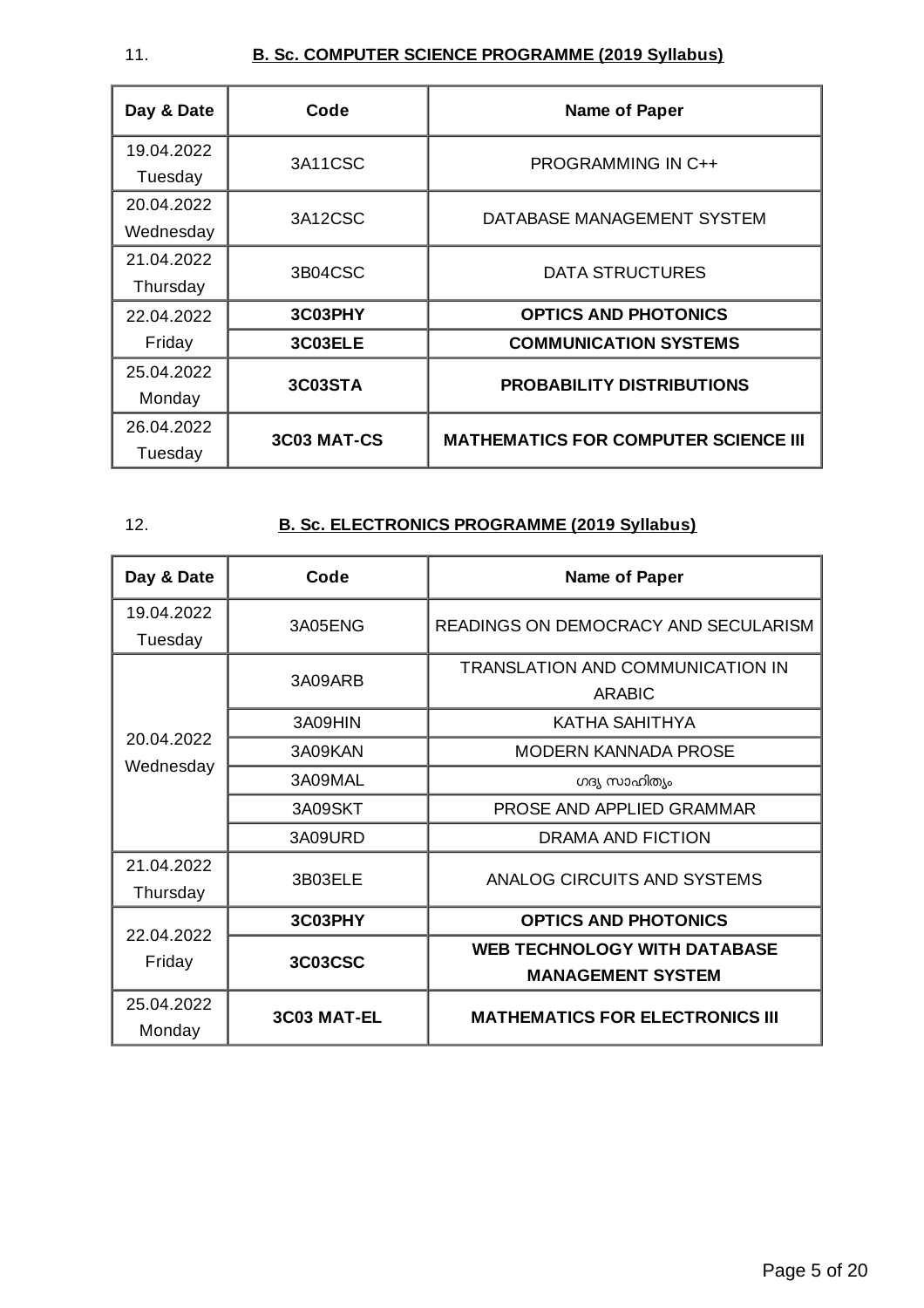## 11. **B. Sc. COMPUTER SCIENCE PROGRAMME (2019 Syllabus)**

| Day & Date | Code        | <b>Name of Paper</b>                        |  |
|------------|-------------|---------------------------------------------|--|
| 19.04.2022 | 3A11CSC     | <b>PROGRAMMING IN C++</b>                   |  |
| Tuesday    |             |                                             |  |
| 20.04.2022 | 3A12CSC     |                                             |  |
| Wednesday  |             | DATABASE MANAGEMENT SYSTEM                  |  |
| 21.04.2022 | 3B04CSC     |                                             |  |
| Thursday   |             | <b>DATA STRUCTURES</b>                      |  |
| 22.04.2022 | 3C03PHY     | <b>OPTICS AND PHOTONICS</b>                 |  |
| Friday     | 3C03ELE     | <b>COMMUNICATION SYSTEMS</b>                |  |
| 25.04.2022 |             |                                             |  |
| Monday     | 3C03STA     | <b>PROBABILITY DISTRIBUTIONS</b>            |  |
| 26.04.2022 | 3C03 MAT-CS | <b>MATHEMATICS FOR COMPUTER SCIENCE III</b> |  |
| Tuesday    |             |                                             |  |

## 12. **B. Sc. ELECTRONICS PROGRAMME (2019 Syllabus)**

| Day & Date             | Code           | <b>Name of Paper</b>                                            |  |
|------------------------|----------------|-----------------------------------------------------------------|--|
| 19.04.2022<br>Tuesday  | 3A05ENG        | READINGS ON DEMOCRACY AND SECULARISM                            |  |
|                        | 3A09ARB        | TRANSLATION AND COMMUNICATION IN<br><b>ARABIC</b>               |  |
|                        | 3A09HIN        | KATHA SAHITHYA                                                  |  |
| 20.04.2022             | 3A09KAN        | <b>MODERN KANNADA PROSE</b>                                     |  |
| Wednesday              | 3A09MAL        | ഗദ്യ സാഹിത്യം                                                   |  |
|                        | 3A09SKT        | PROSE AND APPLIED GRAMMAR                                       |  |
|                        | 3A09URD        | <b>DRAMA AND FICTION</b>                                        |  |
| 21.04.2022<br>Thursday | 3B03ELE        | ANALOG CIRCUITS AND SYSTEMS                                     |  |
| 22.04.2022             | 3C03PHY        | <b>OPTICS AND PHOTONICS</b>                                     |  |
| Friday                 | <b>3C03CSC</b> | <b>WEB TECHNOLOGY WITH DATABASE</b><br><b>MANAGEMENT SYSTEM</b> |  |
| 25.04.2022<br>Monday   | 3C03 MAT-EL    | <b>MATHEMATICS FOR ELECTRONICS III</b>                          |  |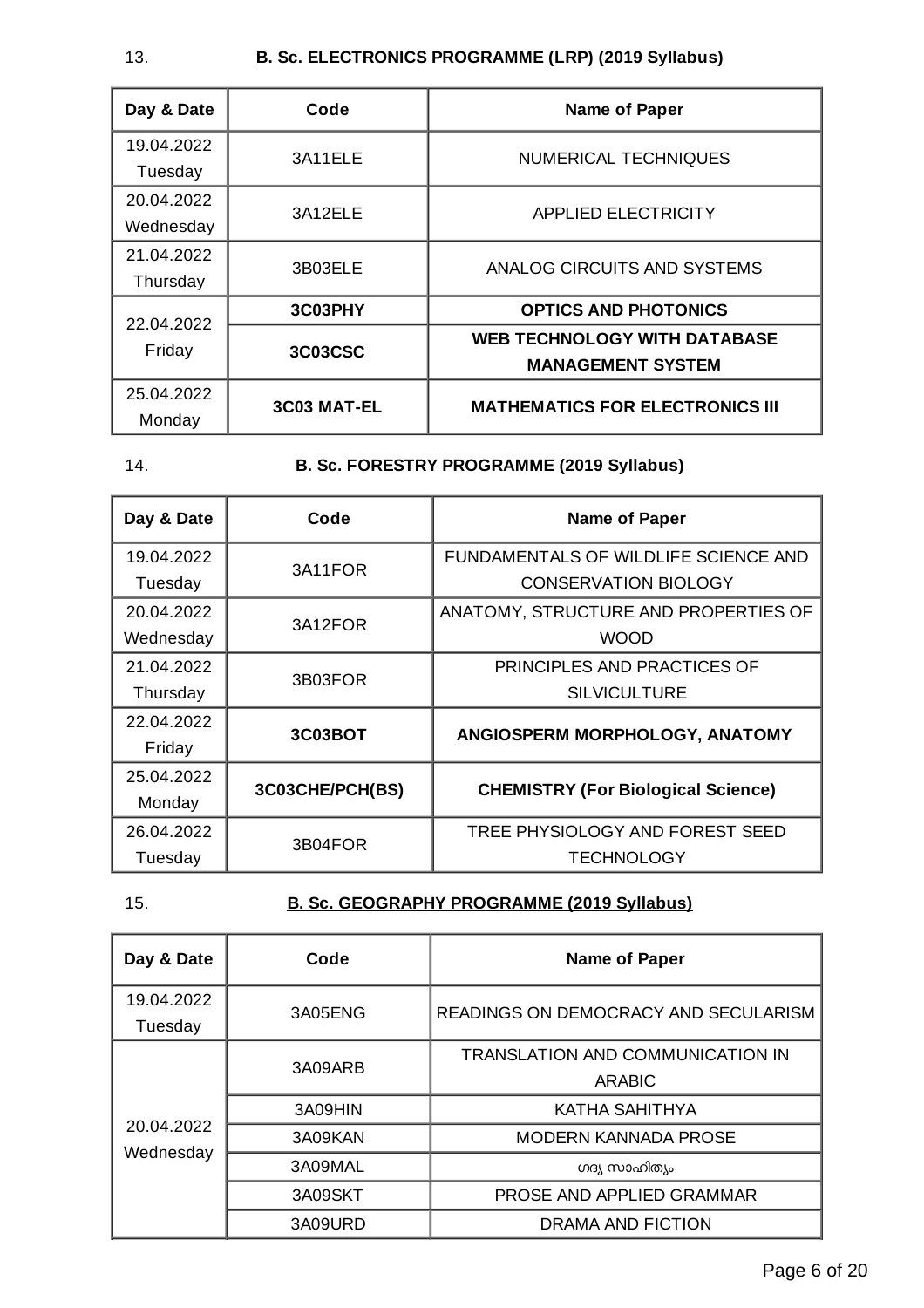| Day & Date              | Code           | <b>Name of Paper</b>                                            |  |
|-------------------------|----------------|-----------------------------------------------------------------|--|
| 19.04.2022<br>Tuesday   | 3A11ELE        | NUMERICAL TECHNIQUES                                            |  |
| 20.04.2022<br>Wednesday | 3A12ELE        | <b>APPLIED ELECTRICITY</b>                                      |  |
| 21.04.2022<br>Thursday  | 3B03ELE        | ANALOG CIRCUITS AND SYSTEMS                                     |  |
| 22.04.2022              | 3C03PHY        | <b>OPTICS AND PHOTONICS</b>                                     |  |
| Friday                  | <b>3C03CSC</b> | <b>WEB TECHNOLOGY WITH DATABASE</b><br><b>MANAGEMENT SYSTEM</b> |  |
| 25.04.2022<br>Monday    | 3C03 MAT-EL    | <b>MATHEMATICS FOR ELECTRONICS III</b>                          |  |

#### 14. **B. Sc. FORESTRY PROGRAMME (2019 Syllabus)**

| Day & Date | Code            | <b>Name of Paper</b>                      |  |
|------------|-----------------|-------------------------------------------|--|
| 19.04.2022 | 3A11FOR         | FUNDAMENTALS OF WILDLIFE SCIENCE AND      |  |
| Tuesday    |                 | <b>CONSERVATION BIOLOGY</b>               |  |
| 20.04.2022 | 3A12FOR         | ANATOMY, STRUCTURE AND PROPERTIES OF      |  |
| Wednesday  |                 | <b>WOOD</b>                               |  |
| 21.04.2022 | 3B03FOR         | PRINCIPLES AND PRACTICES OF               |  |
| Thursday   |                 | <b>SILVICULTURE</b>                       |  |
| 22.04.2022 | 3C03BOT         | ANGIOSPERM MORPHOLOGY, ANATOMY            |  |
| Friday     |                 |                                           |  |
| 25.04.2022 | 3C03CHE/PCH(BS) | <b>CHEMISTRY (For Biological Science)</b> |  |
| Monday     |                 |                                           |  |
| 26.04.2022 | 3B04FOR         | TREE PHYSIOLOGY AND FOREST SEED           |  |
| Tuesday    |                 | <b>TECHNOLOGY</b>                         |  |

#### 15. **B. Sc. GEOGRAPHY PROGRAMME (2019 Syllabus)**

| Day & Date              | Code    | <b>Name of Paper</b>                              |  |
|-------------------------|---------|---------------------------------------------------|--|
| 19.04.2022<br>Tuesday   | 3A05ENG | READINGS ON DEMOCRACY AND SECULARISM              |  |
|                         | 3A09ARB | <b>TRANSLATION AND COMMUNICATION IN</b><br>ARABIC |  |
|                         | 3A09HIN | KATHA SAHITHYA                                    |  |
| 20.04.2022<br>Wednesday | 3A09KAN | <b>MODERN KANNADA PROSE</b>                       |  |
|                         | 3A09MAL | ഗദ്യ സാഹിത്യം                                     |  |
|                         | 3A09SKT | PROSE AND APPLIED GRAMMAR                         |  |
|                         | 3A09URD | DRAMA AND FICTION                                 |  |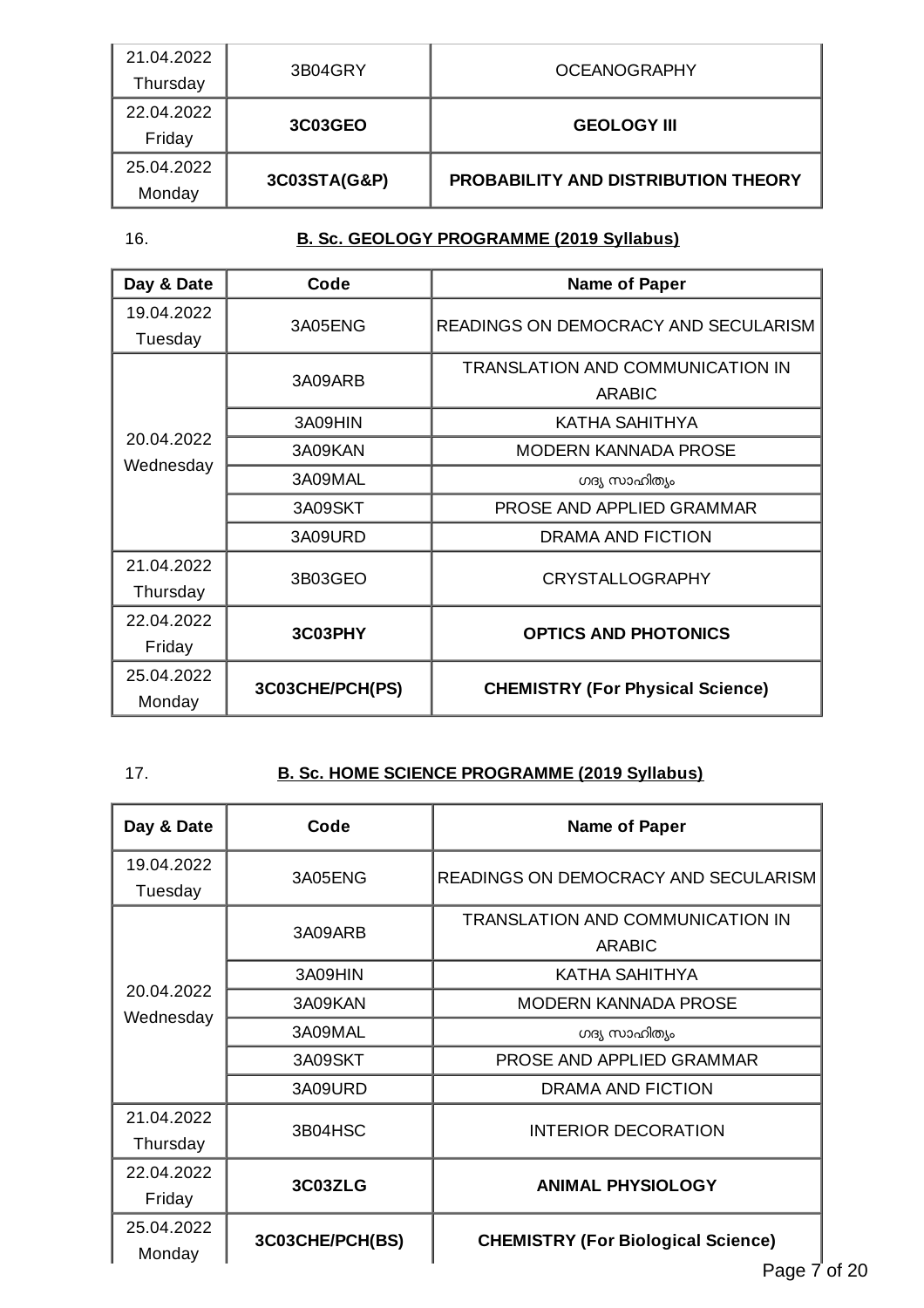| 21.04.2022 | 3B04GRY        | <b>OCEANOGRAPHY</b>                        |  |
|------------|----------------|--------------------------------------------|--|
| Thursday   |                |                                            |  |
| 22.04.2022 | <b>3C03GEO</b> | <b>GEOLOGY III</b>                         |  |
| Friday     |                |                                            |  |
| 25.04.2022 |                | <b>PROBABILITY AND DISTRIBUTION THEORY</b> |  |
| Monday     | 3C03STA(G&P)   |                                            |  |

## 16. **B. Sc. GEOLOGY PROGRAMME (2019 Syllabus)**

| Day & Date | Code            | <b>Name of Paper</b>                    |  |
|------------|-----------------|-----------------------------------------|--|
| 19.04.2022 | 3A05ENG         | READINGS ON DEMOCRACY AND SECULARISM    |  |
| Tuesday    |                 |                                         |  |
|            | 3A09ARB         | TRANSLATION AND COMMUNICATION IN        |  |
|            |                 | <b>ARABIC</b>                           |  |
|            | 3A09HIN         | KATHA SAHITHYA                          |  |
| 20.04.2022 | 3A09KAN         | <b>MODERN KANNADA PROSE</b>             |  |
| Wednesday  | 3A09MAL         | ഗദ്യ സാഹിത്യം                           |  |
|            | 3A09SKT         | PROSE AND APPLIED GRAMMAR               |  |
|            | 3A09URD         | DRAMA AND FICTION                       |  |
| 21.04.2022 | 3B03GEO         |                                         |  |
| Thursday   |                 | <b>CRYSTALLOGRAPHY</b>                  |  |
| 22.04.2022 | 3C03PHY         |                                         |  |
| Friday     |                 | <b>OPTICS AND PHOTONICS</b>             |  |
| 25.04.2022 | 3C03CHE/PCH(PS) | <b>CHEMISTRY (For Physical Science)</b> |  |
| Monday     |                 |                                         |  |

## 17. **B. Sc. HOME SCIENCE PROGRAMME (2019 Syllabus)**

| Day & Date              | Code            | Name of Paper                                                       |  |
|-------------------------|-----------------|---------------------------------------------------------------------|--|
| 19.04.2022<br>Tuesday   | 3A05ENG         | READINGS ON DEMOCRACY AND SECULARISM                                |  |
|                         | 3A09ARB         | <b>TRANSLATION AND COMMUNICATION IN</b><br><b>ARABIC</b>            |  |
|                         | 3A09HIN         | KATHA SAHITHYA                                                      |  |
| 20.04.2022<br>Wednesday | 3A09KAN         | <b>MODERN KANNADA PROSE</b>                                         |  |
|                         | 3A09MAL         | ഗദ്യ സാഹിത്യം                                                       |  |
|                         | 3A09SKT         | PROSE AND APPLIED GRAMMAR                                           |  |
|                         | 3A09URD         | <b>DRAMA AND FICTION</b>                                            |  |
| 21.04.2022<br>Thursday  | 3B04HSC         | <b>INTERIOR DECORATION</b>                                          |  |
| 22.04.2022<br>Friday    | 3C03ZLG         | <b>ANIMAL PHYSIOLOGY</b>                                            |  |
| 25.04.2022<br>Monday    | 3C03CHE/PCH(BS) | <b>CHEMISTRY (For Biological Science)</b><br>$P2$ ne $\overline{7}$ |  |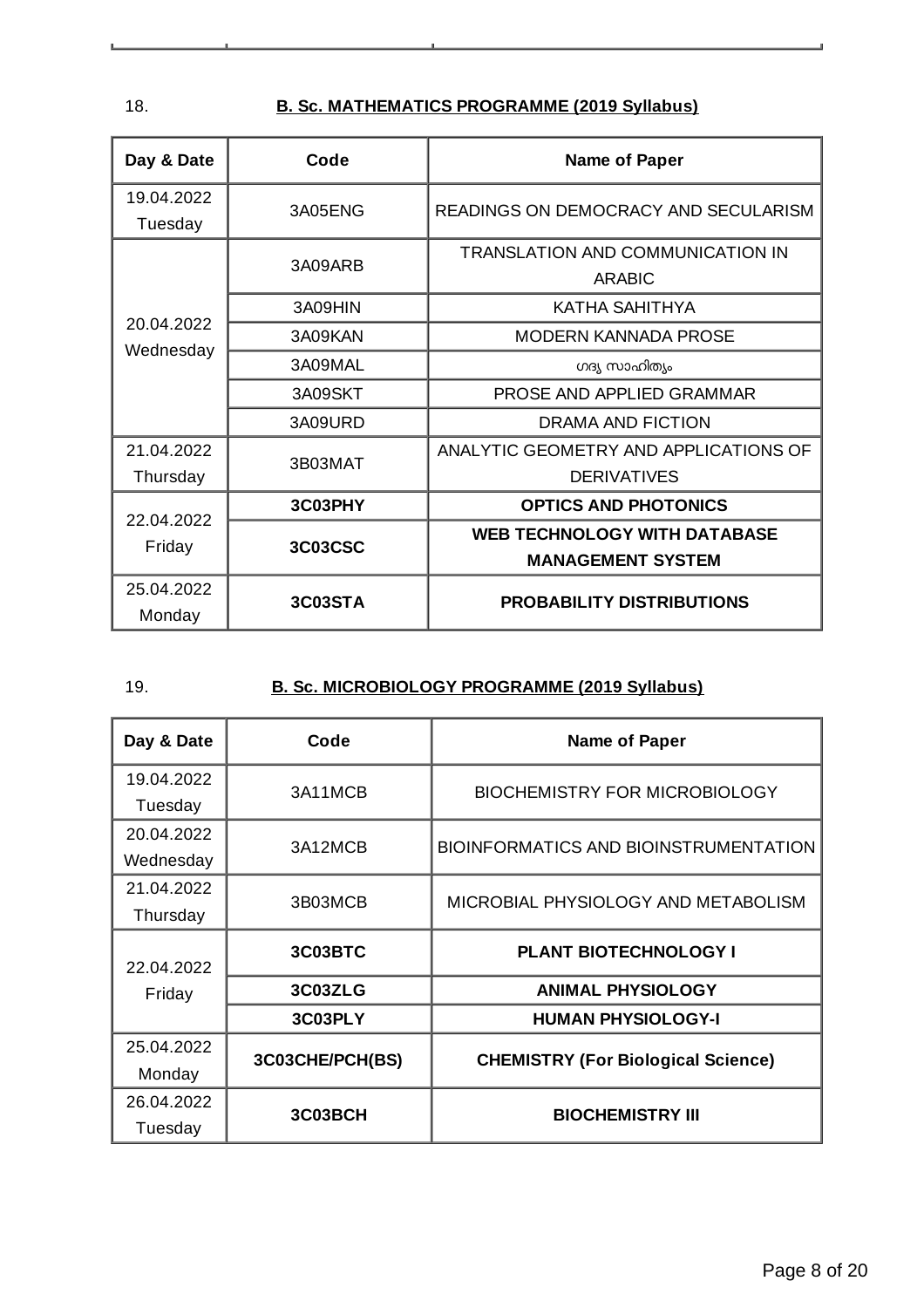18. **B. Sc. MATHEMATICS PROGRAMME (2019 Syllabus)**

| Day & Date             | Code           | <b>Name of Paper</b>                                            |  |
|------------------------|----------------|-----------------------------------------------------------------|--|
| 19.04.2022<br>Tuesday  | 3A05ENG        | READINGS ON DEMOCRACY AND SECULARISM                            |  |
|                        | 3A09ARB        | TRANSLATION AND COMMUNICATION IN<br><b>ARABIC</b>               |  |
|                        | 3A09HIN        | KATHA SAHITHYA                                                  |  |
| 20.04.2022             | 3A09KAN        | <b>MODERN KANNADA PROSE</b>                                     |  |
| Wednesday              | 3A09MAL        | ഗദ്യ സാഹിത്യം                                                   |  |
|                        | 3A09SKT        | PROSE AND APPLIED GRAMMAR                                       |  |
|                        | 3A09URD        | <b>DRAMA AND FICTION</b>                                        |  |
| 21.04.2022<br>Thursday | 3B03MAT        | ANALYTIC GEOMETRY AND APPLICATIONS OF<br><b>DERIVATIVES</b>     |  |
| 22.04.2022             | 3C03PHY        | <b>OPTICS AND PHOTONICS</b>                                     |  |
| Friday                 | <b>3C03CSC</b> | <b>WEB TECHNOLOGY WITH DATABASE</b><br><b>MANAGEMENT SYSTEM</b> |  |
| 25.04.2022<br>Monday   | 3C03STA        | <b>PROBABILITY DISTRIBUTIONS</b>                                |  |

| ۰, | ٠            |  |
|----|--------------|--|
|    | I<br>۰.<br>× |  |

## 19. **B. Sc. MICROBIOLOGY PROGRAMME (2019 Syllabus)**

| Day & Date              | Code            | <b>Name of Paper</b>                      |
|-------------------------|-----------------|-------------------------------------------|
| 19.04.2022<br>Tuesday   | 3A11MCB         | <b>BIOCHEMISTRY FOR MICROBIOLOGY</b>      |
| 20.04.2022<br>Wednesday | 3A12MCB         | BIOINFORMATICS AND BIOINSTRUMENTATION     |
| 21.04.2022<br>Thursday  | 3B03MCB         | MICROBIAL PHYSIOLOGY AND METABOLISM       |
| 22.04.2022<br>Friday    | 3C03BTC         | PLANT BIOTECHNOLOGY I                     |
|                         | 3C03ZLG         | <b>ANIMAL PHYSIOLOGY</b>                  |
|                         | 3C03PLY         | <b>HUMAN PHYSIOLOGY-I</b>                 |
| 25.04.2022<br>Monday    | 3C03CHE/PCH(BS) | <b>CHEMISTRY (For Biological Science)</b> |
| 26.04.2022<br>Tuesday   | 3C03BCH         | <b>BIOCHEMISTRY III</b>                   |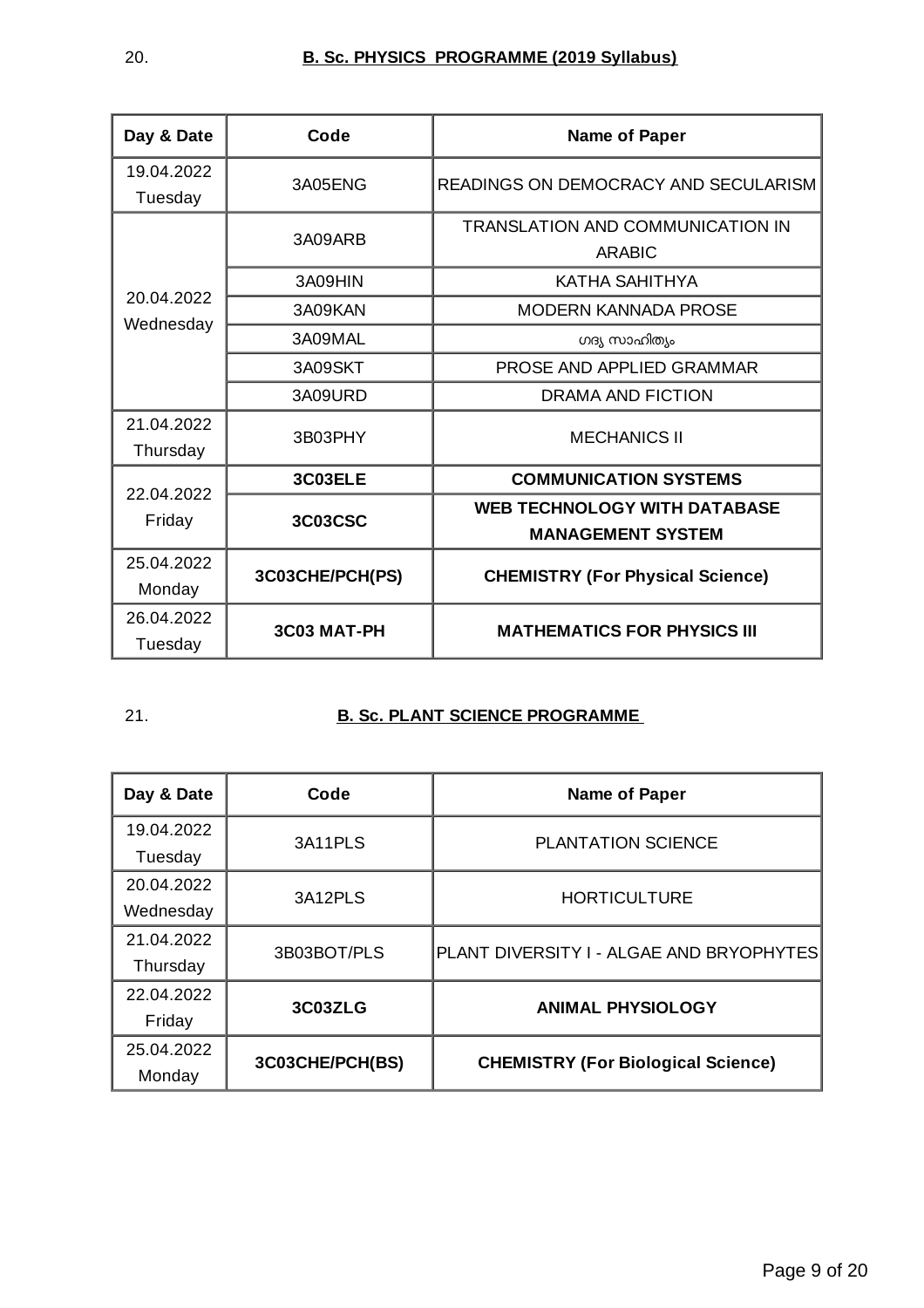| Day & Date             | Code            | <b>Name of Paper</b>                                            |
|------------------------|-----------------|-----------------------------------------------------------------|
| 19.04.2022<br>Tuesday  | 3A05ENG         | READINGS ON DEMOCRACY AND SECULARISM                            |
|                        | 3A09ARB         | TRANSLATION AND COMMUNICATION IN<br><b>ARABIC</b>               |
|                        | 3A09HIN         | KATHA SAHITHYA                                                  |
| 20.04.2022             | 3A09KAN         | <b>MODERN KANNADA PROSE</b>                                     |
| Wednesday              | 3A09MAL         | ഗദ്യ സാഹിത്യം                                                   |
|                        | 3A09SKT         | PROSE AND APPLIED GRAMMAR                                       |
|                        | 3A09URD         | <b>DRAMA AND FICTION</b>                                        |
| 21.04.2022<br>Thursday | 3B03PHY         | <b>MECHANICS II</b>                                             |
| 22.04.2022             | 3C03ELE         | <b>COMMUNICATION SYSTEMS</b>                                    |
| Friday                 | <b>3C03CSC</b>  | <b>WEB TECHNOLOGY WITH DATABASE</b><br><b>MANAGEMENT SYSTEM</b> |
| 25.04.2022<br>Monday   | 3C03CHE/PCH(PS) | <b>CHEMISTRY (For Physical Science)</b>                         |
| 26.04.2022<br>Tuesday  | 3C03 MAT-PH     | <b>MATHEMATICS FOR PHYSICS III</b>                              |

#### 21. **B. Sc. PLANT SCIENCE PROGRAMME**

| Day & Date | Code            | <b>Name of Paper</b>                      |
|------------|-----------------|-------------------------------------------|
| 19.04.2022 | 3A11PLS         | <b>PLANTATION SCIENCE</b>                 |
| Tuesday    |                 |                                           |
| 20.04.2022 | 3A12PLS         | <b>HORTICULTURE</b>                       |
| Wednesday  |                 |                                           |
| 21.04.2022 | 3B03BOT/PLS     | PLANT DIVERSITY I - ALGAE AND BRYOPHYTES  |
| Thursday   |                 |                                           |
| 22.04.2022 | 3C03ZLG         | <b>ANIMAL PHYSIOLOGY</b>                  |
| Friday     |                 |                                           |
| 25.04.2022 | 3C03CHE/PCH(BS) | <b>CHEMISTRY (For Biological Science)</b> |
| Monday     |                 |                                           |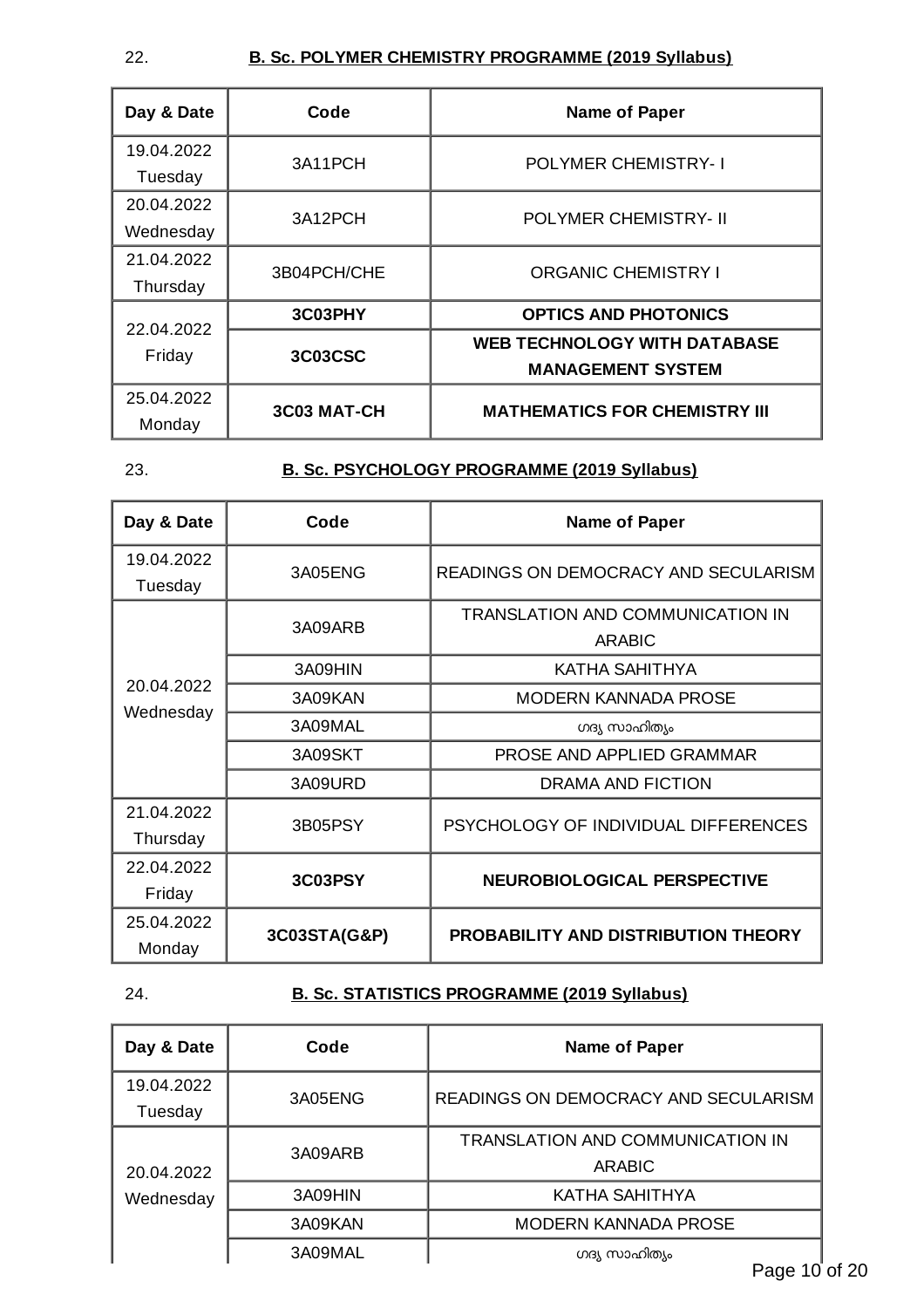#### 22. **B. Sc. POLYMER CHEMISTRY PROGRAMME (2019 Syllabus)**

| Day & Date              | Code        | <b>Name of Paper</b>                                            |
|-------------------------|-------------|-----------------------------------------------------------------|
| 19.04.2022<br>Tuesday   | 3A11PCH     | <b>POLYMER CHEMISTRY-1</b>                                      |
| 20.04.2022<br>Wednesday | 3A12PCH     | <b>POLYMER CHEMISTRY- II</b>                                    |
| 21.04.2022<br>Thursday  | 3B04PCH/CHE | <b>ORGANIC CHEMISTRY I</b>                                      |
| 22.04.2022<br>Friday    | 3C03PHY     | <b>OPTICS AND PHOTONICS</b>                                     |
|                         | 3C03CSC     | <b>WEB TECHNOLOGY WITH DATABASE</b><br><b>MANAGEMENT SYSTEM</b> |
| 25.04.2022<br>Monday    | 3C03 MAT-CH | <b>MATHEMATICS FOR CHEMISTRY III</b>                            |

#### 23. **B. Sc. PSYCHOLOGY PROGRAMME (2019 Syllabus)**

| Day & Date             | Code         | Name of Paper                                     |
|------------------------|--------------|---------------------------------------------------|
| 19.04.2022<br>Tuesday  | 3A05ENG      | READINGS ON DEMOCRACY AND SECULARISM              |
|                        | 3A09ARB      | TRANSLATION AND COMMUNICATION IN<br><b>ARABIC</b> |
|                        | 3A09HIN      | KATHA SAHITHYA                                    |
| 20.04.2022             | 3A09KAN      | MODERN KANNADA PROSE                              |
| Wednesday              | 3A09MAL      | ഗദ്യ സാഹിത്യം                                     |
|                        | 3A09SKT      | PROSE AND APPLIED GRAMMAR                         |
|                        | 3A09URD      | DRAMA AND FICTION                                 |
| 21.04.2022<br>Thursday | 3B05PSY      | PSYCHOLOGY OF INDIVIDUAL DIFFERENCES              |
| 22.04.2022             | 3C03PSY      | <b>NEUROBIOLOGICAL PERSPECTIVE</b>                |
| Friday                 |              |                                                   |
| 25.04.2022             | 3C03STA(G&P) | PROBABILITY AND DISTRIBUTION THEORY               |
| Monday                 |              |                                                   |

#### 24. **B. Sc. STATISTICS PROGRAMME (2019 Syllabus)**

| Day & Date | Code    | <b>Name of Paper</b>                 |
|------------|---------|--------------------------------------|
| 19.04.2022 | 3A05ENG | READINGS ON DEMOCRACY AND SECULARISM |
| Tuesday    |         |                                      |
|            | 3A09ARB | TRANSLATION AND COMMUNICATION IN     |
| 20.04.2022 |         | ARABIC                               |
| Wednesday  | 3A09HIN | KATHA SAHITHYA                       |
|            | 3A09KAN | <b>MODERN KANNADA PROSE</b>          |
|            | 3A09MAL | ഗദ്യ സാഹിത്യം<br>$P - - -$           |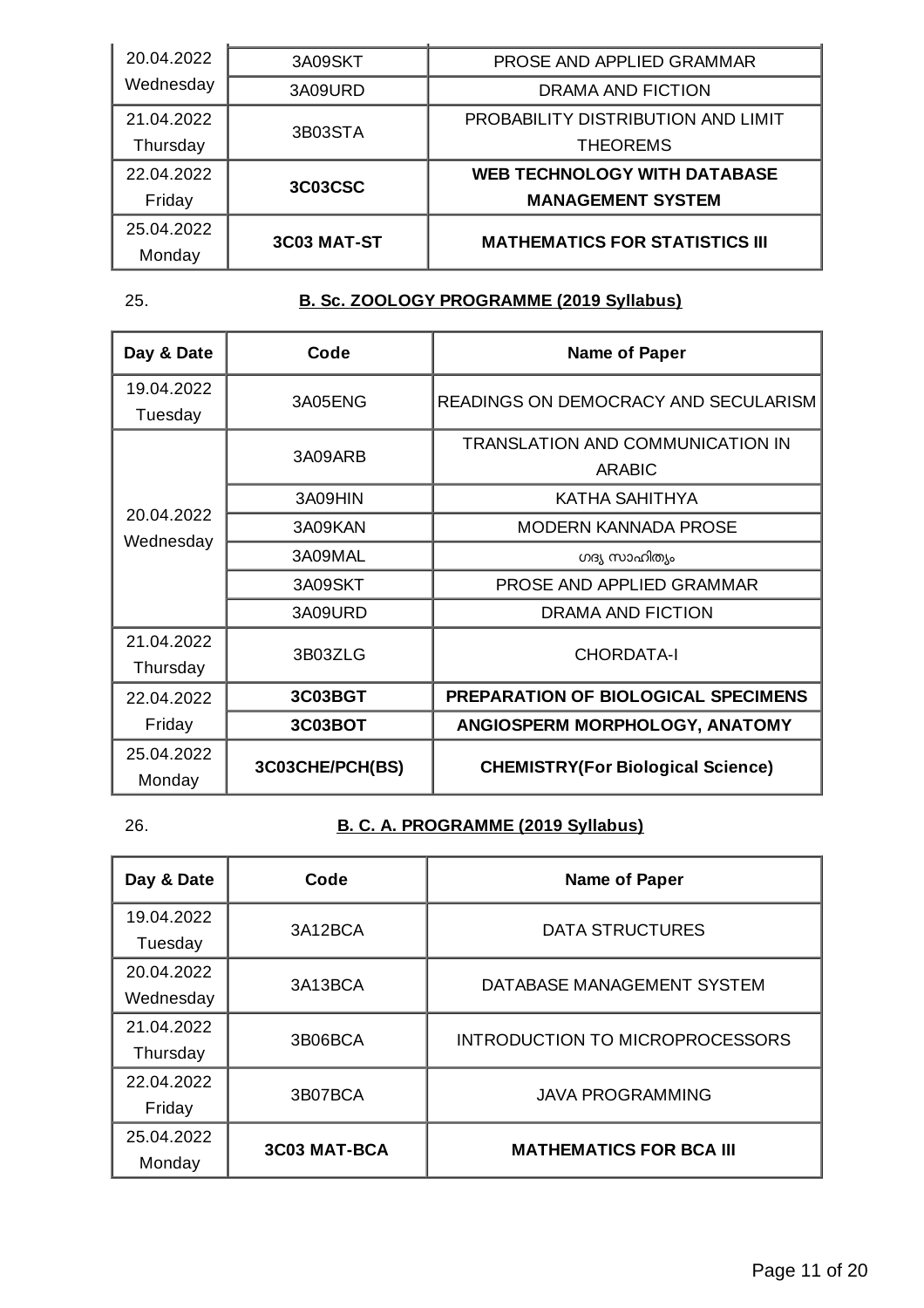| 20.04.2022 | 3A09SKT     | PROSE AND APPLIED GRAMMAR             |
|------------|-------------|---------------------------------------|
| Wednesday  | 3A09URD     | DRAMA AND FICTION                     |
| 21.04.2022 | 3B03STA     | PROBABILITY DISTRIBUTION AND LIMIT    |
| Thursday   |             | <b>THEOREMS</b>                       |
| 22.04.2022 | 3C03CSC     | <b>WEB TECHNOLOGY WITH DATABASE</b>   |
| Friday     |             | <b>MANAGEMENT SYSTEM</b>              |
| 25.04.2022 | 3C03 MAT-ST | <b>MATHEMATICS FOR STATISTICS III</b> |
| Monday     |             |                                       |

## 25. **B. Sc. ZOOLOGY PROGRAMME (2019 Syllabus)**

| Day & Date | Code            | <b>Name of Paper</b>                     |
|------------|-----------------|------------------------------------------|
| 19.04.2022 | 3A05ENG         | READINGS ON DEMOCRACY AND SECULARISM     |
| Tuesday    |                 |                                          |
|            | 3A09ARB         | TRANSLATION AND COMMUNICATION IN         |
|            |                 | <b>ARABIC</b>                            |
|            | 3A09HIN         | KATHA SAHITHYA                           |
| 20.04.2022 | 3A09KAN         | MODERN KANNADA PROSE                     |
| Wednesday  | 3A09MAL         | ഗദ്യ സാഹിത്യം                            |
|            | 3A09SKT         | PROSE AND APPLIED GRAMMAR                |
|            | 3A09URD         | DRAMA AND FICTION                        |
| 21.04.2022 |                 |                                          |
| Thursday   | 3B03ZLG         | <b>CHORDATA-I</b>                        |
| 22.04.2022 | 3C03BGT         | PREPARATION OF BIOLOGICAL SPECIMENS      |
| Friday     | 3C03BOT         | ANGIOSPERM MORPHOLOGY, ANATOMY           |
| 25.04.2022 | 3C03CHE/PCH(BS) | <b>CHEMISTRY(For Biological Science)</b> |
| Monday     |                 |                                          |

## 26. **B. C. A. PROGRAMME (2019 Syllabus)**

| Day & Date | Code                | <b>Name of Paper</b>                   |
|------------|---------------------|----------------------------------------|
| 19.04.2022 | 3A12BCA             | <b>DATA STRUCTURES</b>                 |
| Tuesday    |                     |                                        |
| 20.04.2022 | 3A13BCA             | DATABASE MANAGEMENT SYSTEM             |
| Wednesday  |                     |                                        |
| 21.04.2022 |                     |                                        |
| Thursday   | 3B06BCA             | <b>INTRODUCTION TO MICROPROCESSORS</b> |
| 22.04.2022 |                     |                                        |
| Friday     | 3B07BCA             | <b>JAVA PROGRAMMING</b>                |
| 25.04.2022 |                     |                                        |
| Monday     | <b>3C03 MAT-BCA</b> | <b>MATHEMATICS FOR BCA III</b>         |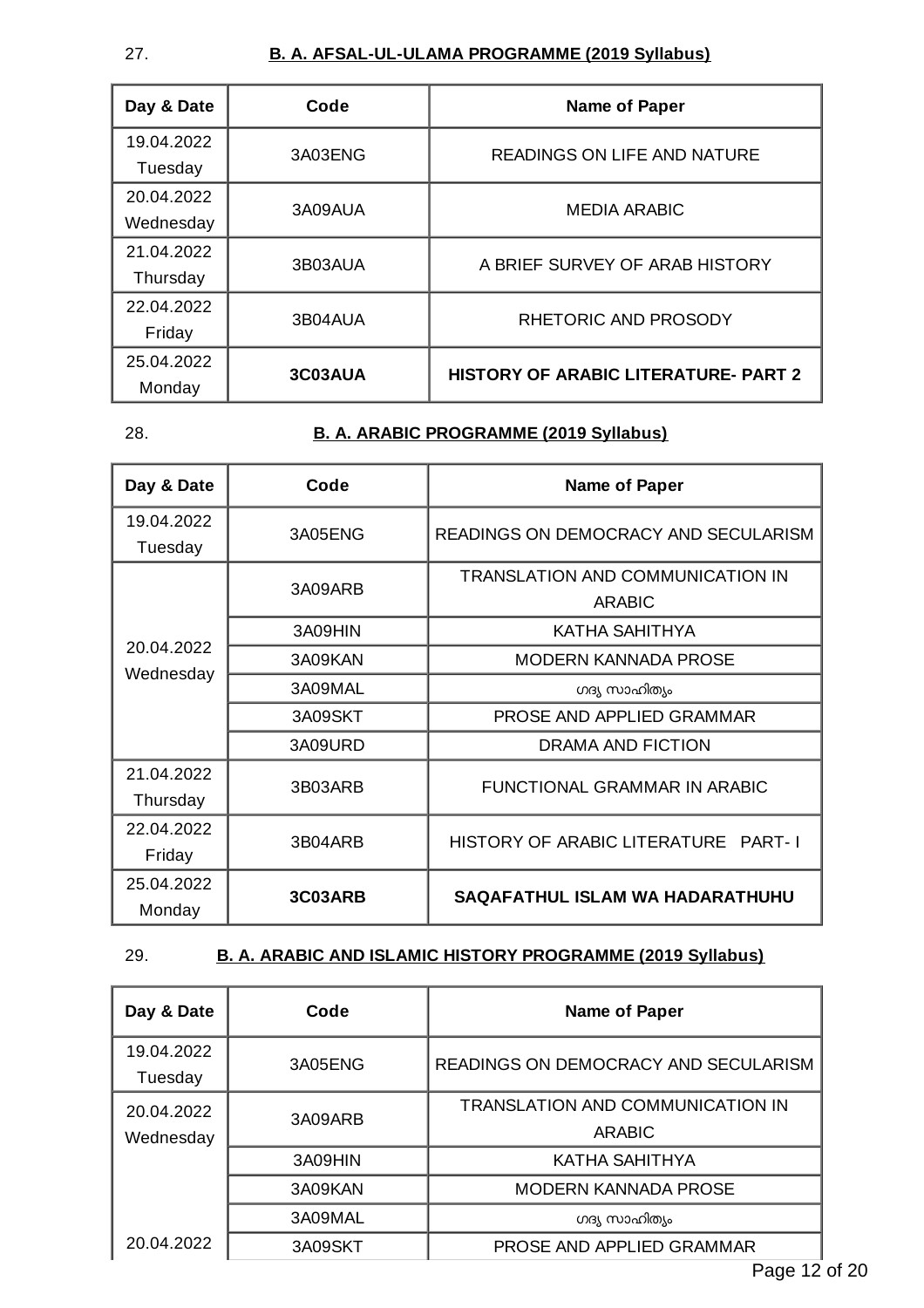#### 27. **B. A. AFSAL-UL-ULAMA PROGRAMME (2019 Syllabus)**

| Day & Date | Code    | <b>Name of Paper</b>                        |
|------------|---------|---------------------------------------------|
| 19.04.2022 | 3A03ENG | <b>READINGS ON LIFE AND NATURE</b>          |
| Tuesday    |         |                                             |
| 20.04.2022 | 3A09AUA | <b>MEDIA ARABIC</b>                         |
| Wednesday  |         |                                             |
| 21.04.2022 |         | A BRIEF SURVEY OF ARAB HISTORY              |
| Thursday   | 3B03AUA |                                             |
| 22.04.2022 |         | RHETORIC AND PROSODY                        |
| Friday     | 3B04AUA |                                             |
| 25.04.2022 | 3C03AUA | <b>HISTORY OF ARABIC LITERATURE- PART 2</b> |
| Monday     |         |                                             |

#### 28. **B. A. ARABIC PROGRAMME (2019 Syllabus)**

| Day & Date | Code    | <b>Name of Paper</b>                 |
|------------|---------|--------------------------------------|
| 19.04.2022 | 3A05ENG | READINGS ON DEMOCRACY AND SECULARISM |
| Tuesday    |         |                                      |
|            | 3A09ARB | TRANSLATION AND COMMUNICATION IN     |
|            |         | <b>ARABIC</b>                        |
|            | 3A09HIN | KATHA SAHITHYA                       |
| 20.04.2022 | 3A09KAN | <b>MODERN KANNADA PROSE</b>          |
| Wednesday  | 3A09MAL | ഗദ്യ സാഹിത്യം                        |
|            | 3A09SKT | PROSE AND APPLIED GRAMMAR            |
|            | 3A09URD | DRAMA AND FICTION                    |
| 21.04.2022 |         | FUNCTIONAL GRAMMAR IN ARABIC         |
| Thursday   | 3B03ARB |                                      |
| 22.04.2022 |         | HISTORY OF ARABIC LITERATURE PART-I  |
| Friday     | 3B04ARB |                                      |
| 25.04.2022 | 3C03ARB |                                      |
| Monday     |         | SAQAFATHUL ISLAM WA HADARATHUHU      |

#### 29. **B. A. ARABIC AND ISLAMIC HISTORY PROGRAMME (2019 Syllabus)**

| Day & Date              | Code    | <b>Name of Paper</b>                                     |
|-------------------------|---------|----------------------------------------------------------|
| 19.04.2022<br>Tuesday   | 3A05ENG | <b>READINGS ON DEMOCRACY AND SECULARISM</b>              |
| 20.04.2022<br>Wednesday | 3A09ARB | <b>TRANSLATION AND COMMUNICATION IN</b><br><b>ARABIC</b> |
|                         | 3A09HIN | <b>KATHA SAHITHYA</b>                                    |
|                         | 3A09KAN | <b>MODERN KANNADA PROSE</b>                              |
|                         | 3A09MAL | ഗദ്യ സാഹിത്യം                                            |
| 20.04.2022              | 3A09SKT | PROSE AND APPLIED GRAMMAR<br>-<br>$\sim$                 |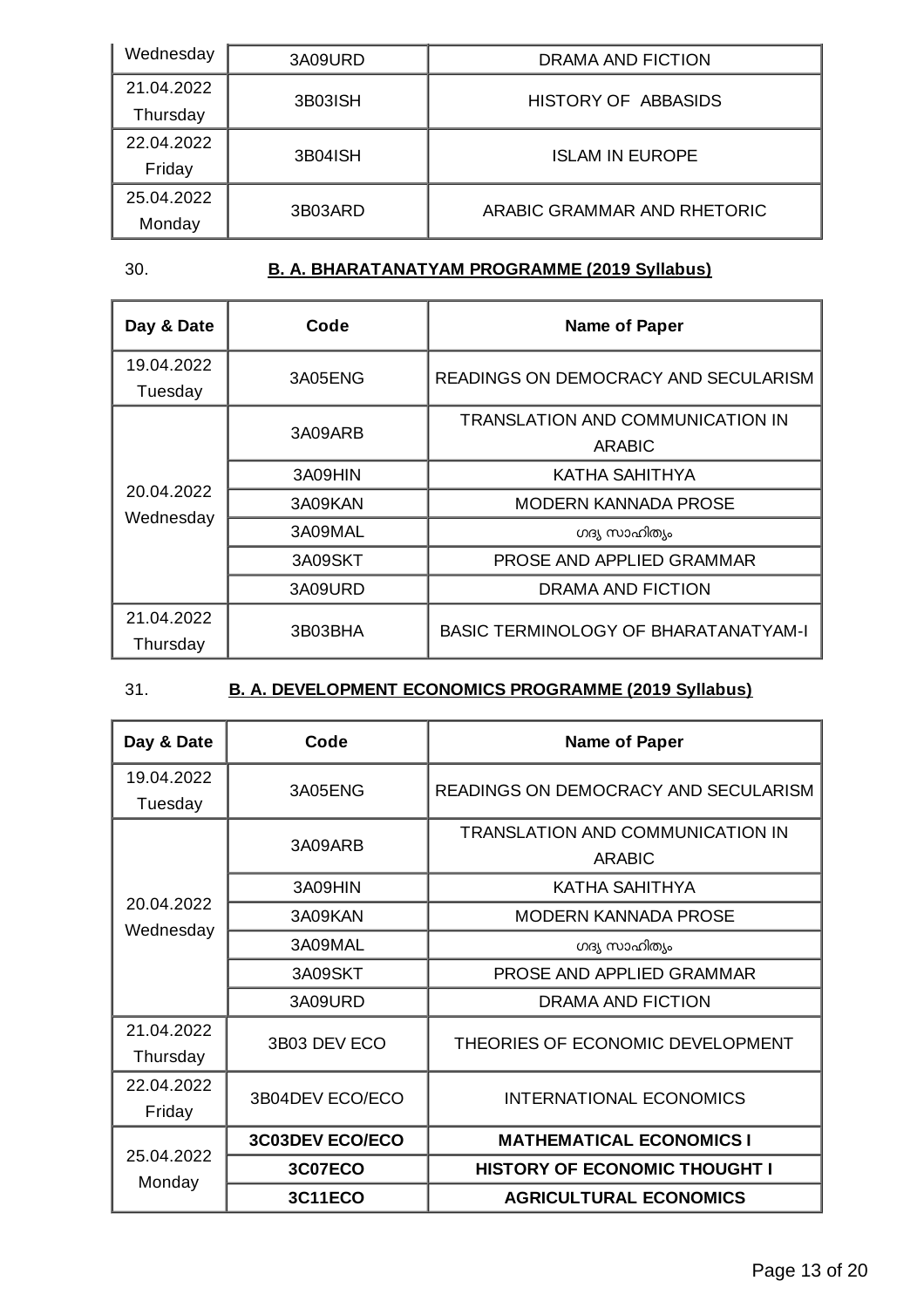| Wednesday  | 3A09URD | DRAMA AND FICTION           |
|------------|---------|-----------------------------|
| 21.04.2022 | 3B03ISH | HISTORY OF ABBASIDS         |
| Thursday   |         |                             |
| 22.04.2022 | 3B04ISH | <b>ISLAM IN EUROPE</b>      |
| Friday     |         |                             |
| 25.04.2022 | 3B03ARD | ARABIC GRAMMAR AND RHETORIC |
| Monday     |         |                             |

## 30. **B. A. BHARATANATYAM PROGRAMME (2019 Syllabus)**

| Day & Date              | Code    | <b>Name of Paper</b>                              |
|-------------------------|---------|---------------------------------------------------|
| 19.04.2022<br>Tuesday   | 3A05ENG | READINGS ON DEMOCRACY AND SECULARISM              |
| 20.04.2022<br>Wednesday | 3A09ARB | TRANSLATION AND COMMUNICATION IN<br><b>ARABIC</b> |
|                         | 3A09HIN | KATHA SAHITHYA                                    |
|                         | 3A09KAN | <b>MODERN KANNADA PROSE</b>                       |
|                         | 3A09MAL | ഗദ്യ സാഹിത്യം                                     |
|                         | 3A09SKT | PROSE AND APPLIED GRAMMAR                         |
|                         | 3A09URD | DRAMA AND FICTION                                 |
| 21.04.2022<br>Thursday  | 3B03BHA | BASIC TERMINOLOGY OF BHARATANATYAM-I              |

## 31. **B. A. DEVELOPMENT ECONOMICS PROGRAMME (2019 Syllabus)**

| Day & Date             | Code                   | <b>Name of Paper</b>                              |
|------------------------|------------------------|---------------------------------------------------|
| 19.04.2022<br>Tuesday  | 3A05ENG                | READINGS ON DEMOCRACY AND SECULARISM              |
|                        | 3A09ARB                | TRANSLATION AND COMMUNICATION IN<br><b>ARABIC</b> |
|                        | 3A09HIN                | KATHA SAHITHYA                                    |
| 20.04.2022             | 3A09KAN                | <b>MODERN KANNADA PROSE</b>                       |
| Wednesday              | 3A09MAL                | ഗദ്യ സാഹിത്യം                                     |
|                        | 3A09SKT                | PROSE AND APPLIED GRAMMAR                         |
|                        | 3A09URD                | <b>DRAMA AND FICTION</b>                          |
| 21.04.2022<br>Thursday | 3B03 DEV ECO           | THEORIES OF ECONOMIC DEVELOPMENT                  |
| 22.04.2022<br>Friday   | 3B04DEV ECO/ECO        | <b>INTERNATIONAL ECONOMICS</b>                    |
| 25.04.2022<br>Monday   | <b>3C03DEV ECO/ECO</b> | <b>MATHEMATICAL ECONOMICS I</b>                   |
|                        | 3C07ECO                | <b>HISTORY OF ECONOMIC THOUGHT I</b>              |
|                        | <b>3C11ECO</b>         | <b>AGRICULTURAL ECONOMICS</b>                     |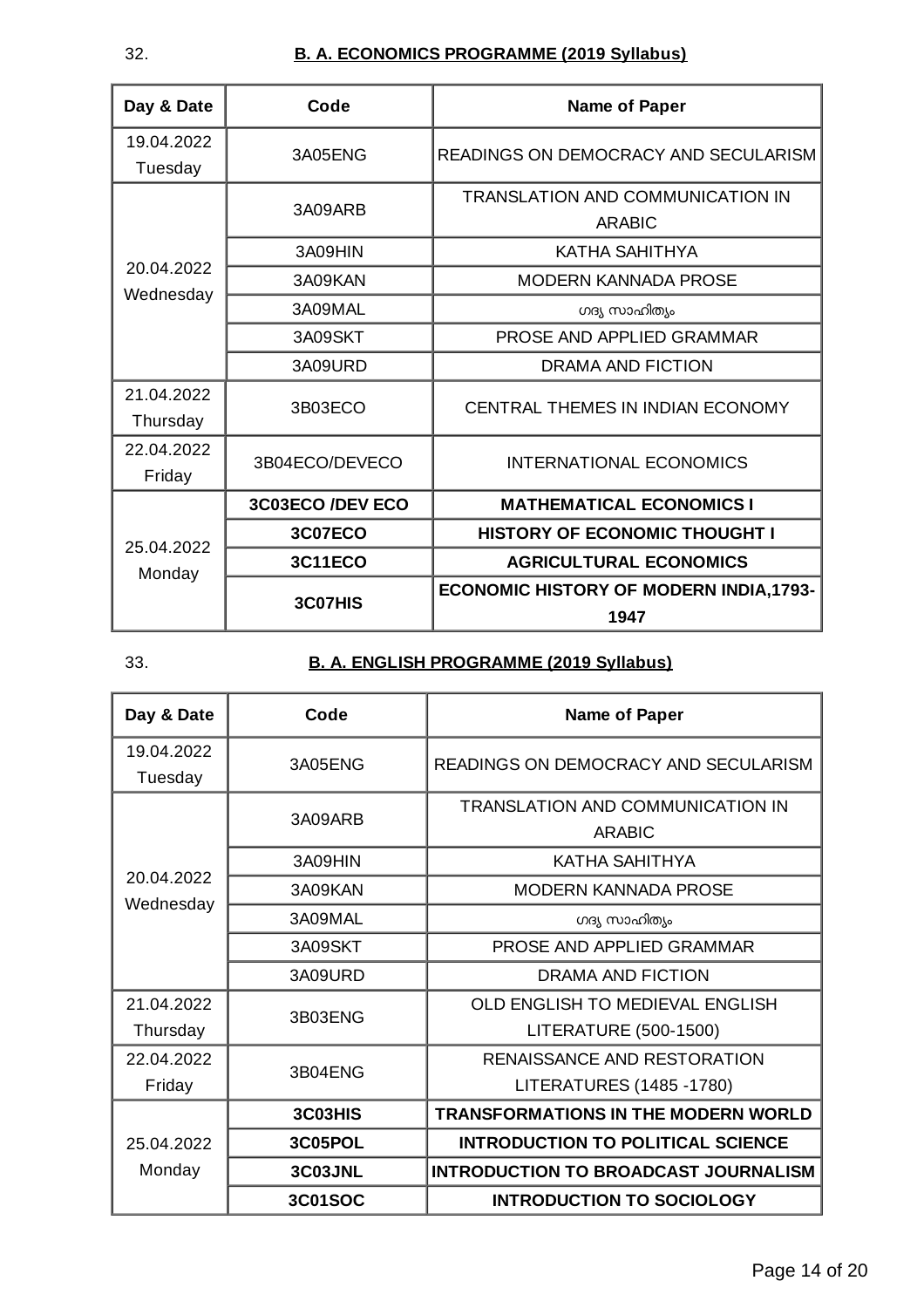## 32. **B. A. ECONOMICS PROGRAMME (2019 Syllabus)**

| Day & Date             | Code             | <b>Name of Paper</b>                                     |
|------------------------|------------------|----------------------------------------------------------|
| 19.04.2022<br>Tuesday  | 3A05ENG          | READINGS ON DEMOCRACY AND SECULARISM                     |
|                        | 3A09ARB          | <b>TRANSLATION AND COMMUNICATION IN</b><br><b>ARABIC</b> |
|                        | 3A09HIN          | KATHA SAHITHYA                                           |
| 20.04.2022             | 3A09KAN          | <b>MODERN KANNADA PROSE</b>                              |
| Wednesday              | 3A09MAL          | ഗദ്യ സാഹിത്യം                                            |
|                        | 3A09SKT          | PROSE AND APPLIED GRAMMAR                                |
|                        | 3A09URD          | DRAMA AND FICTION                                        |
| 21.04.2022<br>Thursday | 3B03ECO          | CENTRAL THEMES IN INDIAN ECONOMY                         |
| 22.04.2022<br>Friday   | 3B04ECO/DEVECO   | <b>INTERNATIONAL ECONOMICS</b>                           |
| 25.04.2022<br>Monday   | 3C03ECO /DEV ECO | <b>MATHEMATICAL ECONOMICS I</b>                          |
|                        | <b>3C07ECO</b>   | <b>HISTORY OF ECONOMIC THOUGHT I</b>                     |
|                        | <b>3C11ECO</b>   | <b>AGRICULTURAL ECONOMICS</b>                            |
|                        | 3C07HIS          | <b>ECONOMIC HISTORY OF MODERN INDIA, 1793-</b><br>1947   |

## 33. **B. A. ENGLISH PROGRAMME (2019 Syllabus)**

| Day & Date            | Code    | <b>Name of Paper</b>                        |
|-----------------------|---------|---------------------------------------------|
| 19.04.2022<br>Tuesday | 3A05ENG | READINGS ON DEMOCRACY AND SECULARISM        |
|                       | 3A09ARB | TRANSLATION AND COMMUNICATION IN<br>ARABIC  |
|                       | 3A09HIN | KATHA SAHITHYA                              |
| 20.04.2022            | 3A09KAN | MODERN KANNADA PROSE                        |
| Wednesday             | 3A09MAL | ഗദ്യ സാഹിത്യം                               |
|                       | 3A09SKT | PROSE AND APPLIED GRAMMAR                   |
|                       | 3A09URD | DRAMA AND FICTION                           |
| 21.04.2022            | 3B03ENG | OLD ENGLISH TO MEDIEVAL ENGLISH             |
| Thursday              |         | LITERATURE (500-1500)                       |
| 22.04.2022            | 3B04ENG | RENAISSANCE AND RESTORATION                 |
| Friday                |         | LITERATURES (1485 - 1780)                   |
| 25.04.2022<br>Monday  | 3C03HIS | <b>TRANSFORMATIONS IN THE MODERN WORLD</b>  |
|                       | 3C05POL | <b>INTRODUCTION TO POLITICAL SCIENCE</b>    |
|                       | 3C03JNL | <b>INTRODUCTION TO BROADCAST JOURNALISM</b> |
|                       | 3C01SOC | <b>INTRODUCTION TO SOCIOLOGY</b>            |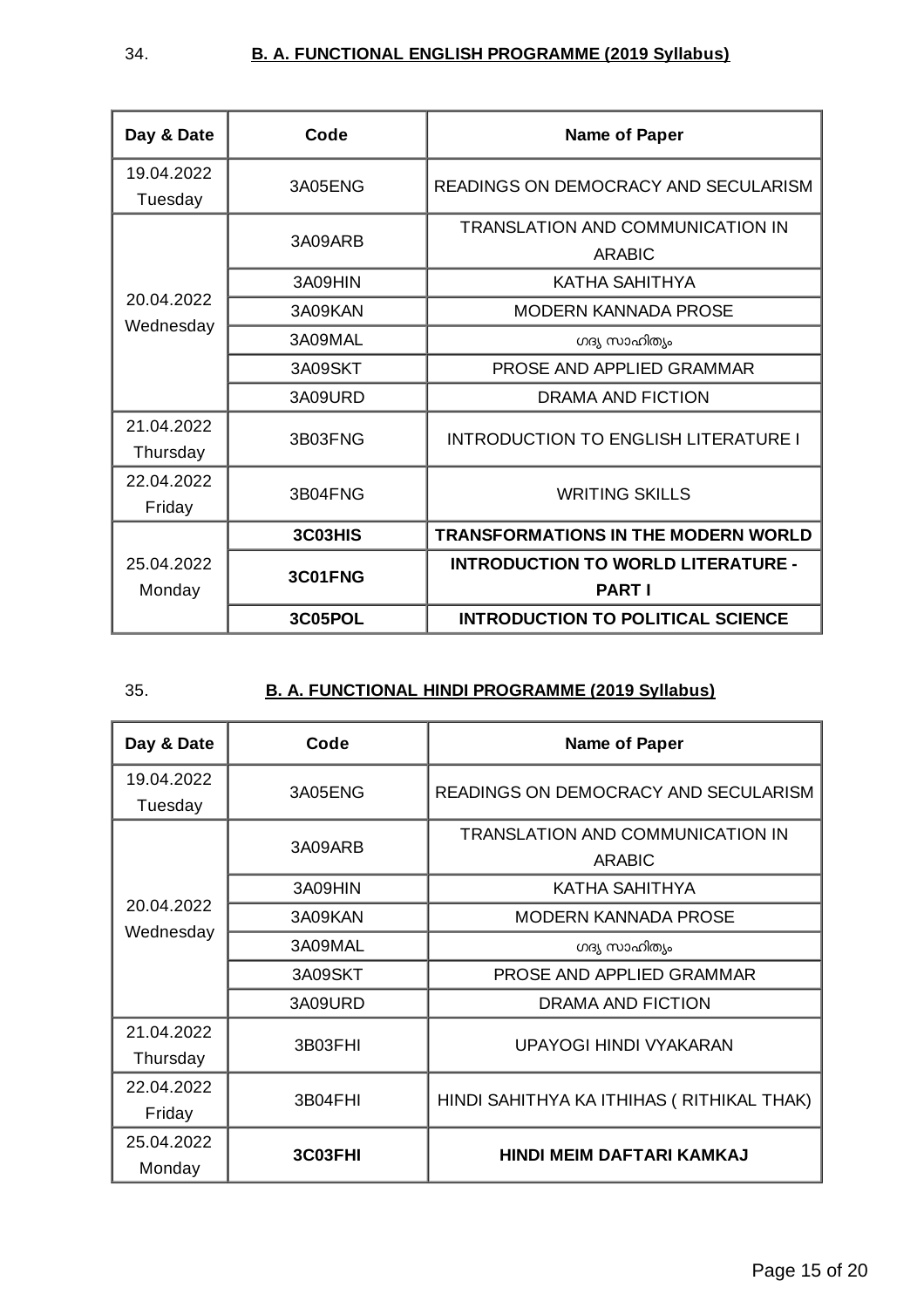| Day & Date             | Code    | <b>Name of Paper</b>                                       |
|------------------------|---------|------------------------------------------------------------|
| 19.04.2022<br>Tuesday  | 3A05ENG | READINGS ON DEMOCRACY AND SECULARISM                       |
|                        | 3A09ARB | <b>TRANSLATION AND COMMUNICATION IN</b><br><b>ARABIC</b>   |
|                        | 3A09HIN | KATHA SAHITHYA                                             |
| 20.04.2022             | 3A09KAN | <b>MODERN KANNADA PROSE</b>                                |
| Wednesday              | 3A09MAL | ഗദ്യ സാഹിത്യം                                              |
|                        | 3A09SKT | PROSE AND APPLIED GRAMMAR                                  |
|                        | 3A09URD | DRAMA AND FICTION                                          |
| 21.04.2022<br>Thursday | 3B03FNG | INTRODUCTION TO ENGLISH LITERATURE I                       |
| 22.04.2022<br>Friday   | 3B04FNG | <b>WRITING SKILLS</b>                                      |
| 25.04.2022<br>Monday   | 3C03HIS | <b>TRANSFORMATIONS IN THE MODERN WORLD</b>                 |
|                        | 3C01FNG | <b>INTRODUCTION TO WORLD LITERATURE -</b><br><b>PART I</b> |
|                        | 3C05POL | <b>INTRODUCTION TO POLITICAL SCIENCE</b>                   |

## 35. **B. A. FUNCTIONAL HINDI PROGRAMME (2019 Syllabus)**

| Day & Date             | Code    | <b>Name of Paper</b>                                     |
|------------------------|---------|----------------------------------------------------------|
| 19.04.2022<br>Tuesday  | 3A05ENG | READINGS ON DEMOCRACY AND SECULARISM                     |
|                        | 3A09ARB | <b>TRANSLATION AND COMMUNICATION IN</b><br><b>ARABIC</b> |
|                        | 3A09HIN | KATHA SAHITHYA                                           |
| 20.04.2022             | 3A09KAN | <b>MODERN KANNADA PROSE</b>                              |
| Wednesday              | 3A09MAL | ഗദ്യ സാഹിത്യം                                            |
|                        | 3A09SKT | PROSE AND APPLIED GRAMMAR                                |
|                        | 3A09URD | DRAMA AND FICTION                                        |
| 21.04.2022<br>Thursday | 3B03FHI | UPAYOGI HINDI VYAKARAN                                   |
| 22.04.2022             | 3B04FHI | HINDI SAHITHYA KA ITHIHAS ( RITHIKAL THAK)               |
| Friday                 |         |                                                          |
| 25.04.2022<br>Monday   | 3C03FHI | <b>HINDI MEIM DAFTARI KAMKAJ</b>                         |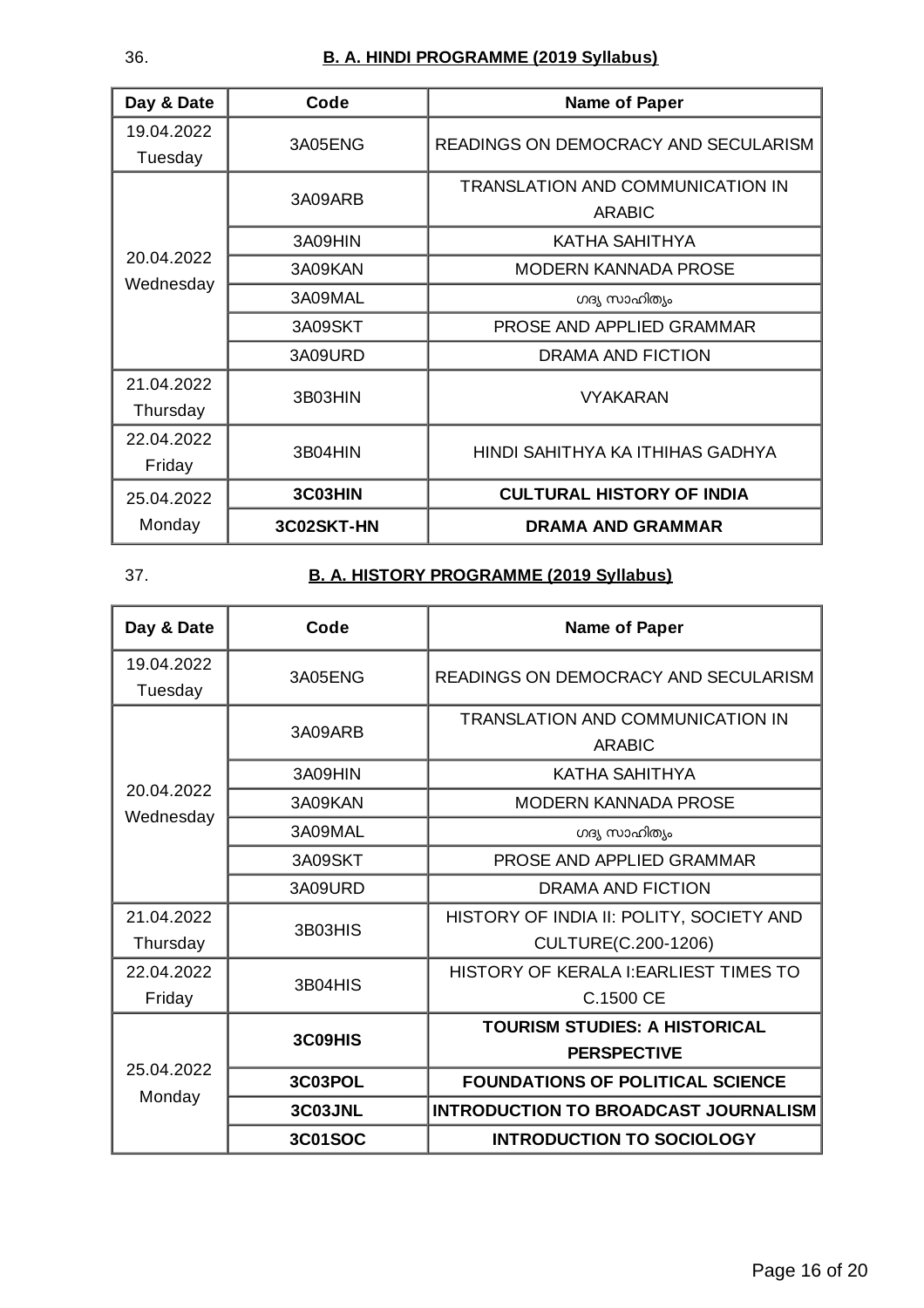| Day & Date | Code       | <b>Name of Paper</b>                    |
|------------|------------|-----------------------------------------|
| 19.04.2022 | 3A05ENG    | READINGS ON DEMOCRACY AND SECULARISM    |
| Tuesday    |            |                                         |
|            | 3A09ARB    | <b>TRANSLATION AND COMMUNICATION IN</b> |
|            |            | <b>ARABIC</b>                           |
|            | 3A09HIN    | KATHA SAHITHYA                          |
| 20.04.2022 | 3A09KAN    | <b>MODERN KANNADA PROSE</b>             |
| Wednesday  | 3A09MAL    | ഗദ്യ സാഹിത്യം                           |
|            | 3A09SKT    | PROSE AND APPLIED GRAMMAR               |
|            | 3A09URD    | DRAMA AND FICTION                       |
| 21.04.2022 | 3B03HIN    | <b>VYAKARAN</b>                         |
| Thursday   |            |                                         |
| 22.04.2022 | 3B04HIN    | HINDI SAHITHYA KA ITHIHAS GADHYA        |
| Friday     |            |                                         |
| 25.04.2022 | 3C03HIN    | <b>CULTURAL HISTORY OF INDIA</b>        |
| Monday     | 3C02SKT-HN | <b>DRAMA AND GRAMMAR</b>                |

# 37. **B. A. HISTORY PROGRAMME (2019 Syllabus)**

| Day & Date            | Code           | <b>Name of Paper</b>                                     |
|-----------------------|----------------|----------------------------------------------------------|
| 19.04.2022<br>Tuesday | 3A05ENG        | READINGS ON DEMOCRACY AND SECULARISM                     |
|                       | 3A09ARB        | <b>TRANSLATION AND COMMUNICATION IN</b><br><b>ARABIC</b> |
|                       | 3A09HIN        | KATHA SAHITHYA                                           |
| 20.04.2022            | 3A09KAN        | <b>MODERN KANNADA PROSE</b>                              |
| Wednesday             | 3A09MAL        | ഗദ്യ സാഹിത്യം                                            |
|                       | 3A09SKT        | PROSE AND APPLIED GRAMMAR                                |
|                       | 3A09URD        | DRAMA AND FICTION                                        |
| 21.04.2022            | 3B03HIS        | HISTORY OF INDIA II: POLITY, SOCIETY AND                 |
| Thursday              |                | CULTURE(C.200-1206)                                      |
| 22.04.2022            | 3B04HIS        | HISTORY OF KERALA I: EARLIEST TIMES TO                   |
| Friday                |                | C.1500 CE                                                |
| 25.04.2022<br>Monday  | 3C09HIS        | <b>TOURISM STUDIES: A HISTORICAL</b>                     |
|                       |                | <b>PERSPECTIVE</b>                                       |
|                       | 3C03POL        | <b>FOUNDATIONS OF POLITICAL SCIENCE</b>                  |
|                       | 3C03JNL        | <b>INTRODUCTION TO BROADCAST JOURNALISM</b>              |
|                       | <b>3C01SOC</b> | <b>INTRODUCTION TO SOCIOLOGY</b>                         |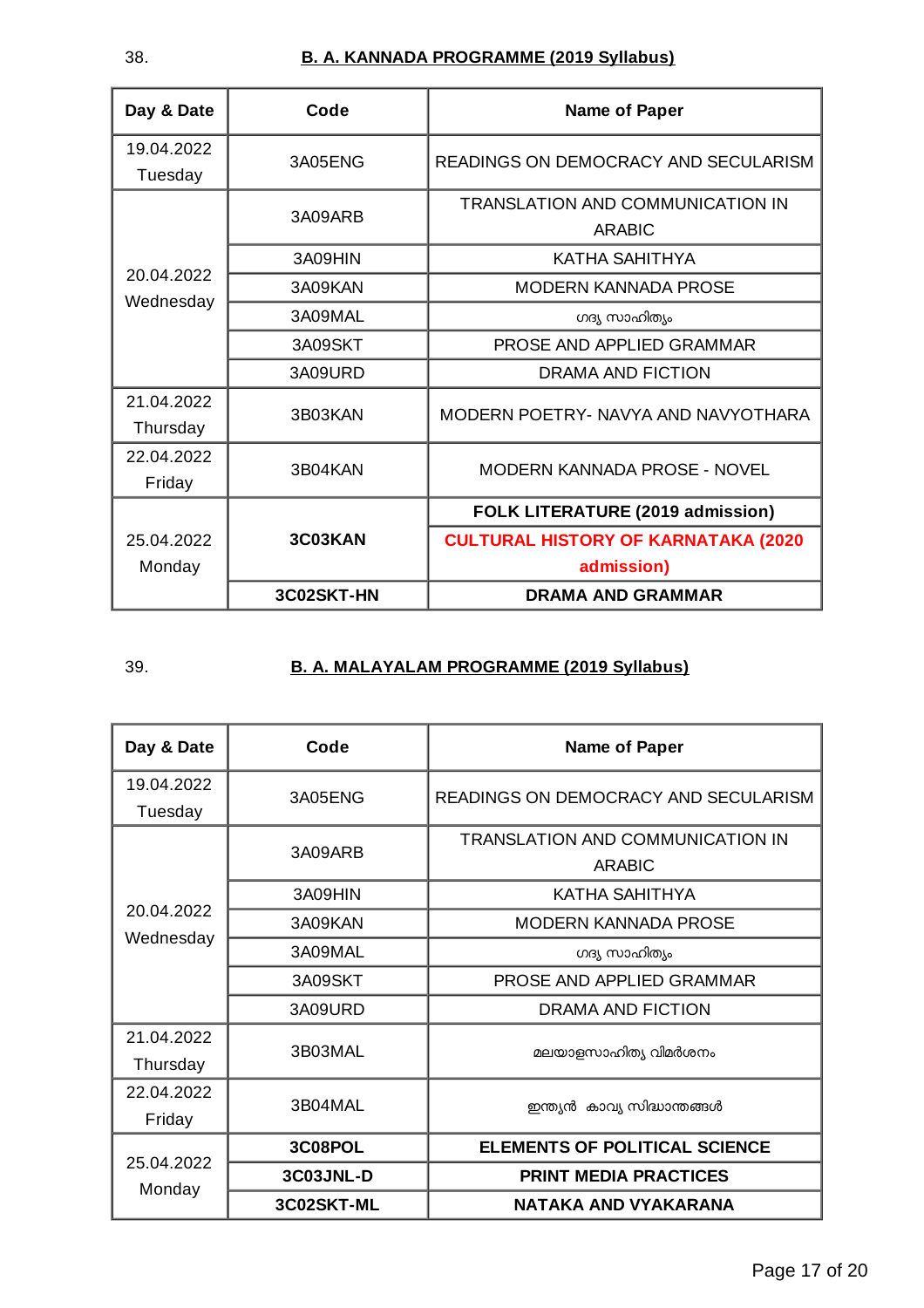| Day & Date             | Code       | <b>Name of Paper</b>                       |
|------------------------|------------|--------------------------------------------|
| 19.04.2022<br>Tuesday  | 3A05ENG    | READINGS ON DEMOCRACY AND SECULARISM       |
|                        | 3A09ARB    | TRANSLATION AND COMMUNICATION IN<br>ARABIC |
|                        | 3A09HIN    | KATHA SAHITHYA                             |
| 20.04.2022             | 3A09KAN    | MODERN KANNADA PROSE                       |
| Wednesday              | 3A09MAL    | ഗദ്യ സാഹിത്യം                              |
|                        | 3A09SKT    | PROSE AND APPLIED GRAMMAR                  |
|                        | 3A09URD    | DRAMA AND FICTION                          |
| 21.04.2022<br>Thursday | 3B03KAN    | MODERN POETRY- NAVYA AND NAVYOTHARA        |
| 22.04.2022<br>Friday   | 3B04KAN    | <b>MODERN KANNADA PROSE - NOVEL</b>        |
|                        |            | <b>FOLK LITERATURE (2019 admission)</b>    |
| 25.04.2022             | 3C03KAN    | <b>CULTURAL HISTORY OF KARNATAKA (2020</b> |
| Monday                 |            | admission)                                 |
|                        | 3C02SKT-HN | <b>DRAMA AND GRAMMAR</b>                   |

## 39. **B. A. MALAYALAM PROGRAMME (2019 Syllabus)**

| Day & Date              | Code       | <b>Name of Paper</b>                 |
|-------------------------|------------|--------------------------------------|
| 19.04.2022              | 3A05ENG    | READINGS ON DEMOCRACY AND SECULARISM |
| Tuesday                 |            |                                      |
|                         | 3A09ARB    | TRANSLATION AND COMMUNICATION IN     |
|                         |            | <b>ARABIC</b>                        |
|                         | 3A09HIN    | KATHA SAHITHYA                       |
| 20.04.2022<br>Wednesday | 3A09KAN    | MODERN KANNADA PROSE                 |
|                         | 3A09MAL    | ഗദ്യ സാഹിത്യം                        |
|                         | 3A09SKT    | PROSE AND APPLIED GRAMMAR            |
|                         | 3A09URD    | <b>DRAMA AND FICTION</b>             |
| 21.04.2022              | 3B03MAL    | മലയാളസാഹിത്യ വിമർശനം                 |
| Thursday                |            |                                      |
| 22.04.2022              | 3B04MAL    |                                      |
| Friday                  |            | ഇന്ത്യൻ കാവ്യ സിദ്ധാന്തങ്ങൾ          |
| 25.04.2022<br>Monday    | 3C08POL    | <b>ELEMENTS OF POLITICAL SCIENCE</b> |
|                         | 3C03JNL-D  | <b>PRINT MEDIA PRACTICES</b>         |
|                         | 3C02SKT-ML | <b>NATAKA AND VYAKARANA</b>          |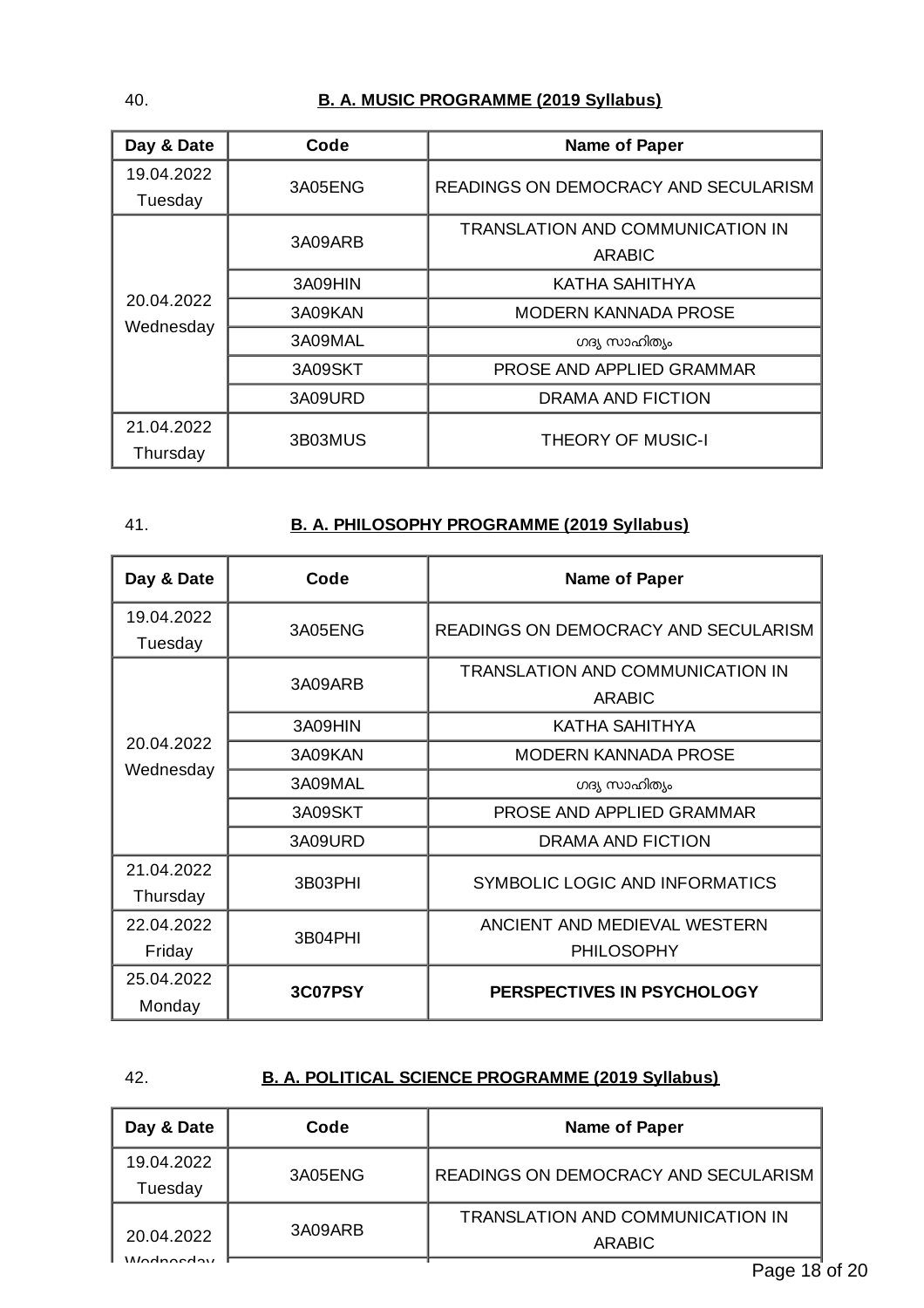#### 40. **B. A. MUSIC PROGRAMME (2019 Syllabus)**

| Day & Date              | Code    | <b>Name of Paper</b>                    |
|-------------------------|---------|-----------------------------------------|
| 19.04.2022              | 3A05ENG | READINGS ON DEMOCRACY AND SECULARISM    |
| Tuesday                 |         |                                         |
|                         | 3A09ARB | <b>TRANSLATION AND COMMUNICATION IN</b> |
|                         |         | <b>ARABIC</b>                           |
|                         | 3A09HIN | KATHA SAHITHYA                          |
| 20.04.2022<br>Wednesday | 3A09KAN | <b>MODERN KANNADA PROSE</b>             |
|                         | 3A09MAL | ഗദ്യ സാഹിത്യം                           |
|                         | 3A09SKT | PROSE AND APPLIED GRAMMAR               |
|                         | 3A09URD | DRAMA AND FICTION                       |
| 21.04.2022              | 3B03MUS |                                         |
| Thursday                |         | <b>THEORY OF MUSIC-I</b>                |

#### 41. **B. A. PHILOSOPHY PROGRAMME (2019 Syllabus)**

| Day & Date              | Code    | <b>Name of Paper</b>                                     |
|-------------------------|---------|----------------------------------------------------------|
| 19.04.2022<br>Tuesday   | 3A05ENG | READINGS ON DEMOCRACY AND SECULARISM                     |
| 20.04.2022<br>Wednesday | 3A09ARB | <b>TRANSLATION AND COMMUNICATION IN</b><br><b>ARABIC</b> |
|                         | 3A09HIN | KATHA SAHITHYA                                           |
|                         | 3A09KAN | <b>MODERN KANNADA PROSE</b>                              |
|                         | 3A09MAL | ഗദ്യ സാഹിത്യം                                            |
|                         | 3A09SKT | PROSE AND APPLIED GRAMMAR                                |
|                         | 3A09URD | DRAMA AND FICTION                                        |
| 21.04.2022<br>Thursday  | 3B03PHI | SYMBOLIC LOGIC AND INFORMATICS                           |
| 22.04.2022              | 3B04PHI | ANCIENT AND MEDIEVAL WESTERN                             |
| Friday                  |         | <b>PHILOSOPHY</b>                                        |
| 25.04.2022<br>Monday    | 3C07PSY | PERSPECTIVES IN PSYCHOLOGY                               |

### 42. **B. A. POLITICAL SCIENCE PROGRAMME (2019 Syllabus)**

| Day & Date | Code    | Name of Paper                           |
|------------|---------|-----------------------------------------|
| 19.04.2022 | 3A05ENG | READINGS ON DEMOCRACY AND SECULARISM    |
| Tuesday    |         |                                         |
|            | 3A09ARB | <b>TRANSLATION AND COMMUNICATION IN</b> |
| 20.04.2022 |         | <b>ARABIC</b>                           |
| Modnodon   |         | Daga 18                                 |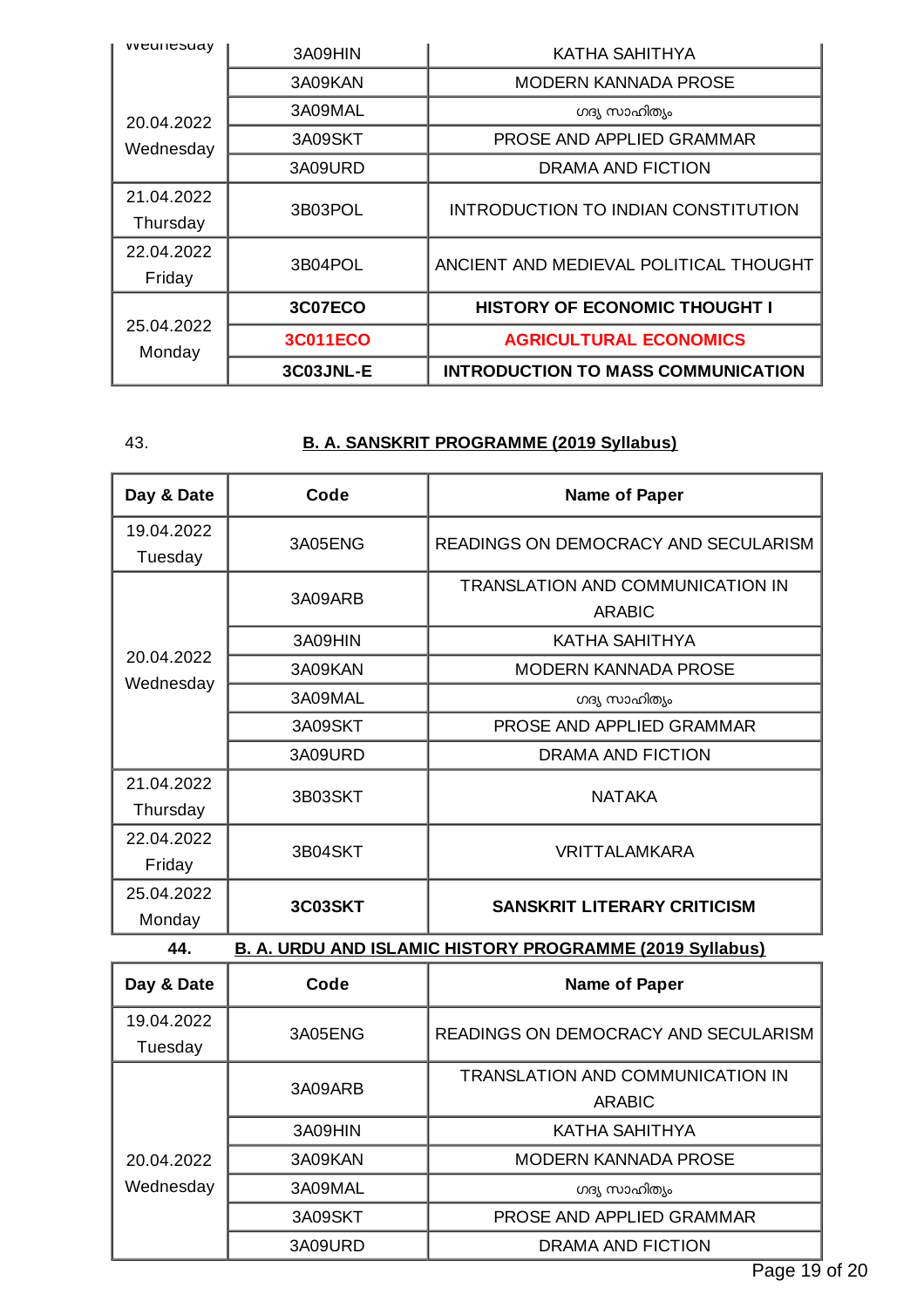| <i>vveunesudy</i>       | 3A09HIN         | KATHA SAHITHYA                            |
|-------------------------|-----------------|-------------------------------------------|
| 20.04.2022<br>Wednesday | 3A09KAN         | MODERN KANNADA PROSE                      |
|                         | 3A09MAL         | ഗദ്യ സാഹിത്യം                             |
|                         | 3A09SKT         | PROSE AND APPLIED GRAMMAR                 |
|                         | 3A09URD         | DRAMA AND FICTION                         |
| 21.04.2022              | 3B03POL         | INTRODUCTION TO INDIAN CONSTITUTION       |
| Thursday                |                 |                                           |
| 22.04.2022              | 3B04POL         | ANCIENT AND MEDIEVAL POLITICAL THOUGHT    |
| Friday                  |                 |                                           |
| 25.04.2022<br>Monday    | 3C07ECO         | <b>HISTORY OF ECONOMIC THOUGHT I</b>      |
|                         | <b>3C011ECO</b> | <b>AGRICULTURAL ECONOMICS</b>             |
|                         | 3C03JNL-E       | <b>INTRODUCTION TO MASS COMMUNICATION</b> |

## 43. **B. A. SANSKRIT PROGRAMME (2019 Syllabus)**

| Day & Date                                                             | Code    | <b>Name of Paper</b>                 |
|------------------------------------------------------------------------|---------|--------------------------------------|
| 19.04.2022                                                             | 3A05ENG | READINGS ON DEMOCRACY AND SECULARISM |
| Tuesday                                                                |         |                                      |
|                                                                        | 3A09ARB | TRANSLATION AND COMMUNICATION IN     |
|                                                                        |         | <b>ARABIC</b>                        |
| 20.04.2022<br>Wednesday                                                | 3A09HIN | <b>KATHA SAHITHYA</b>                |
|                                                                        | 3A09KAN | MODERN KANNADA PROSE                 |
|                                                                        | 3A09MAL | ഗദ്യ സാഹിത്യം                        |
|                                                                        | 3A09SKT | PROSE AND APPLIED GRAMMAR            |
|                                                                        | 3A09URD | DRAMA AND FICTION                    |
| 21.04.2022                                                             | 3B03SKT | <b>NATAKA</b>                        |
| Thursday                                                               |         |                                      |
| 22.04.2022                                                             | 3B04SKT | <b>VRITTALAMKARA</b>                 |
| Friday                                                                 |         |                                      |
| 25.04.2022                                                             | 3C03SKT | <b>SANSKRIT LITERARY CRITICISM</b>   |
| Monday                                                                 |         |                                      |
| <b>B. A. URDU AND ISLAMIC HISTORY PROGRAMME (2019 Syllabus)</b><br>44. |         |                                      |

| Day & Date            | Code    | <b>Name of Paper</b>                              |
|-----------------------|---------|---------------------------------------------------|
| 19.04.2022<br>Tuesday | 3A05ENG | READINGS ON DEMOCRACY AND SECULARISM              |
|                       | 3A09ARB | <b>TRANSLATION AND COMMUNICATION IN</b><br>ARABIC |
|                       | 3A09HIN | KATHA SAHITHYA                                    |
| 20.04.2022            | 3A09KAN | <b>MODERN KANNADA PROSE</b>                       |
| Wednesday             | 3A09MAL | ഗദ്യ സാഹിത്യം                                     |
|                       | 3A09SKT | PROSE AND APPLIED GRAMMAR                         |
|                       | 3A09URD | DRAMA AND FICTION                                 |